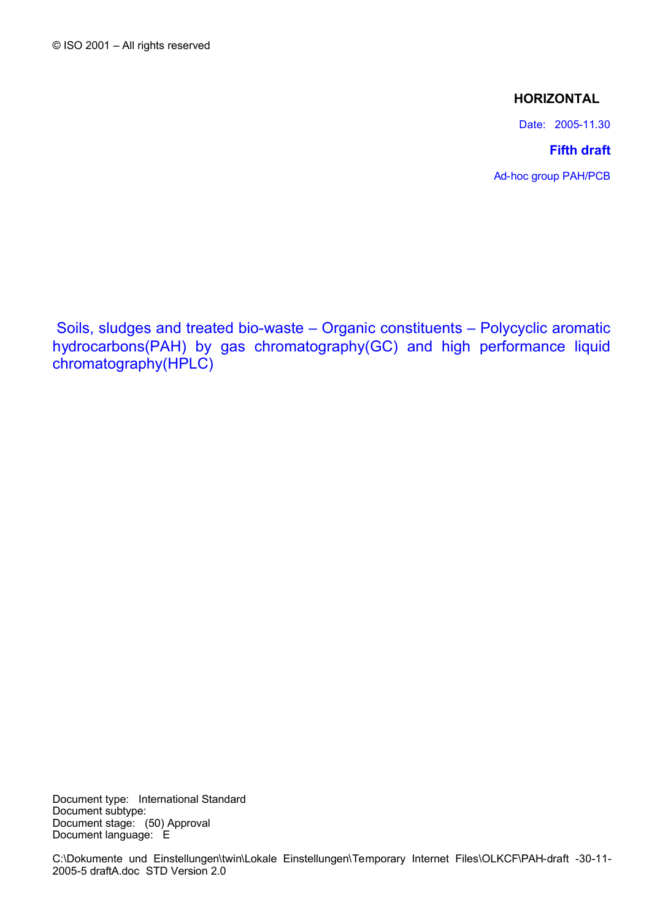# **HORIZONTAL**

Date: 2005-11.30

# **Fifth draft**

Ad-hoc group PAH/PCB

<span id="page-0-0"></span>Soils, sludges and treated bio-waste – Organic constituents – Polycyclic aromatic hydrocarbons(PAH) by gas chromatography(GC) and high performance liquid chromatography(HPLC)

Document type: [International Standard](#page-0-0) Document subtype: Document stage: [\(50\) Approval](#page-0-0) Document language: [E](#page-0-0)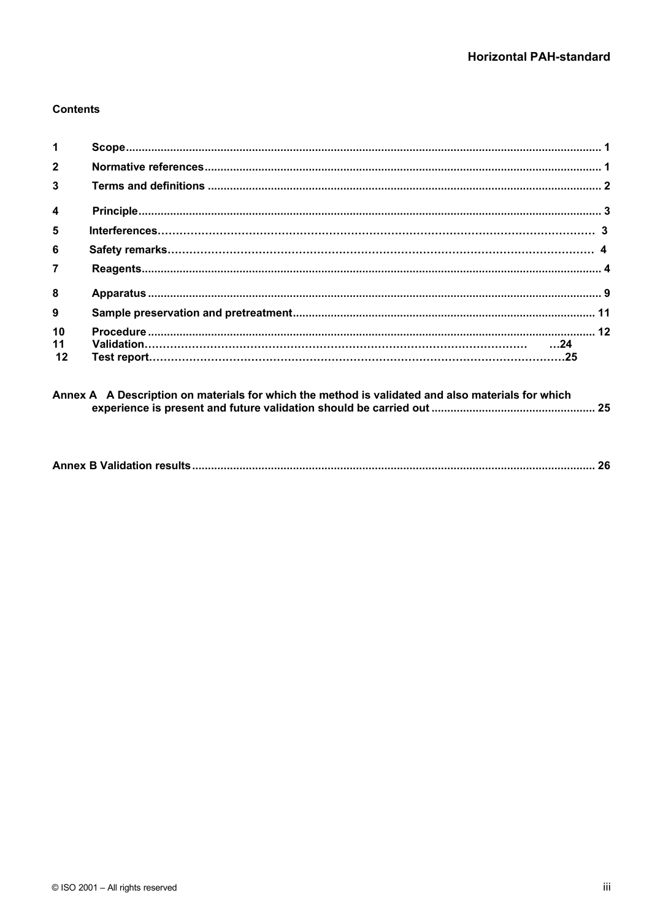# **Contents**

| $\mathbf 1$             |  |  |
|-------------------------|--|--|
| $\overline{2}$          |  |  |
| $\overline{\mathbf{3}}$ |  |  |
| $\overline{\mathbf{4}}$ |  |  |
| 5                       |  |  |
| 6                       |  |  |
| $\overline{7}$          |  |  |
| 8                       |  |  |
| 9                       |  |  |
| 10                      |  |  |
| 11<br>12                |  |  |

|--|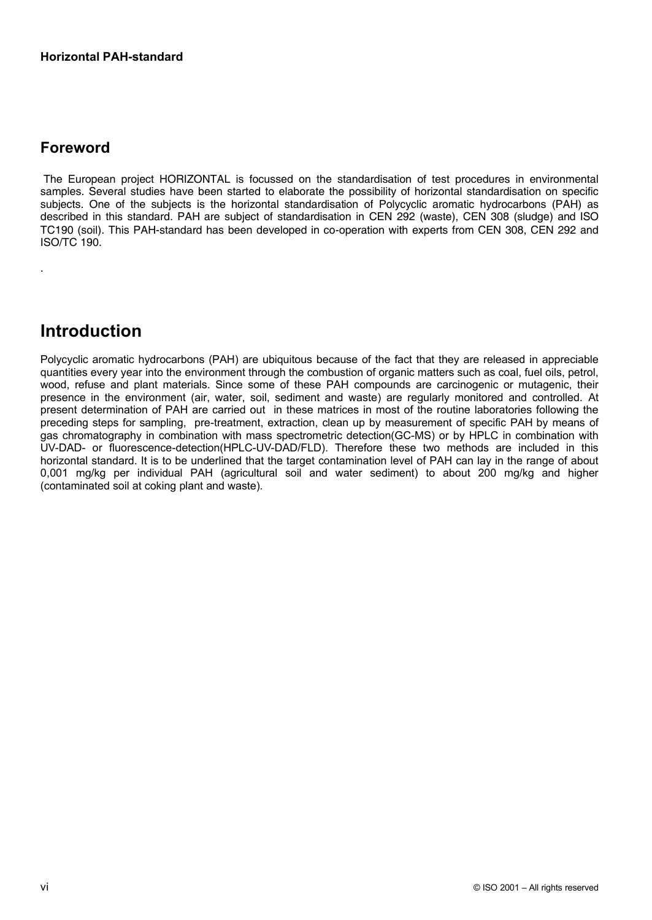# **Foreword**

.

The European project HORIZONTAL is focussed on the standardisation of test procedures in environmental samples. Several studies have been started to elaborate the possibility of horizontal standardisation on specific subjects. One of the subjects is the horizontal standardisation of Polycyclic aromatic hydrocarbons (PAH) as described in this standard. PAH are subject of standardisation in CEN 292 (waste), CEN 308 (sludge) and ISO TC190 (soil). This PAH-standard has been developed in co-operation with experts from CEN 308, CEN 292 and ISO/TC 190.

# **Introduction**

Polycyclic aromatic hydrocarbons (PAH) are ubiquitous because of the fact that they are released in appreciable quantities every year into the environment through the combustion of organic matters such as coal, fuel oils, petrol, wood, refuse and plant materials. Since some of these PAH compounds are carcinogenic or mutagenic, their presence in the environment (air, water, soil, sediment and waste) are regularly monitored and controlled. At present determination of PAH are carried out in these matrices in most of the routine laboratories following the preceding steps for sampling, pre-treatment, extraction, clean up by measurement of specific PAH by means of gas chromatography in combination with mass spectrometric detection(GC-MS) or by HPLC in combination with UV-DAD- or fluorescence-detection(HPLC-UV-DAD/FLD). Therefore these two methods are included in this horizontal standard. It is to be underlined that the target contamination level of PAH can lay in the range of about 0,001 mg/kg per individual PAH (agricultural soil and water sediment) to about 200 mg/kg and higher (contaminated soil at coking plant and waste).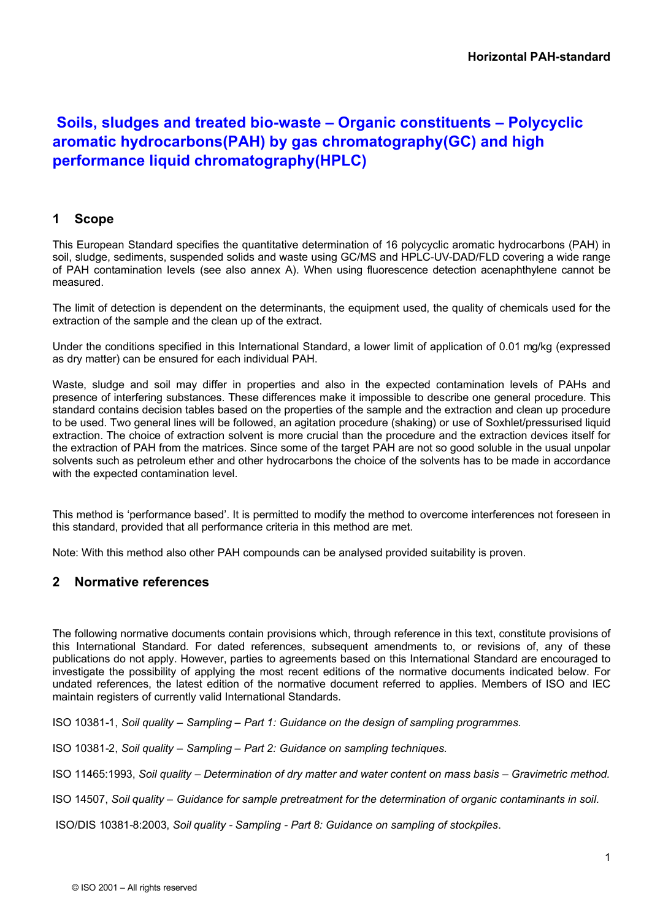# **Soils, sludges and treated bio-waste – Organic constituents – Polycyclic aromatic hydrocarbons(PAH) by gas chromatography(GC) and high performance liquid chromatography(HPLC)**

# <span id="page-6-1"></span>**1 Scope**

This European Standard specifies the quantitative determination of 16 polycyclic aromatic hydrocarbons (PAH) in soil, sludge, sediments, suspended solids and waste using GC/MS and HPLC-UV-DAD/FLD covering a wide range of PAH contamination levels (see also annex A). When using fluorescence detection acenaphthylene cannot be measured.

The limit of detection is dependent on the determinants, the equipment used, the quality of chemicals used for the extraction of the sample and the clean up of the extract.

Under the conditions specified in this International Standard, a lower limit of application of 0.01 mg/kg (expressed as dry matter) can be ensured for each individual PAH.

Waste, sludge and soil may differ in properties and also in the expected contamination levels of PAHs and presence of interfering substances. These differences make it impossible to describe one general procedure. This standard contains decision tables based on the properties of the sample and the extraction and clean up procedure to be used. Two general lines will be followed, an agitation procedure (shaking) or use of Soxhlet/pressurised liquid extraction. The choice of extraction solvent is more crucial than the procedure and the extraction devices itself for the extraction of PAH from the matrices. Since some of the target PAH are not so good soluble in the usual unpolar solvents such as petroleum ether and other hydrocarbons the choice of the solvents has to be made in accordance with the expected contamination level.

This method is 'performance based'. It is permitted to modify the method to overcome interferences not foreseen in this standard, provided that all performance criteria in this method are met.

Note: With this method also other PAH compounds can be analysed provided suitability is proven.

# <span id="page-6-0"></span>**2 Normative references**

The following normative documents contain provisions which, through reference in this text, constitute provisions of this [International Standard.](#page-0-0) For dated references, subsequent amendments to, or revisions of, any of these publications do not apply. However, parties to agreements based on this [International Standard](#page-0-0) are encouraged to investigate the possibility of applying the most recent editions of the normative documents indicated below. For undated references, the latest edition of the normative document referred to applies. Members of ISO and IEC maintain registers of currently valid International Standards.

ISO 10381-1, *Soil quality – Sampling – Part 1: Guidance on the design of sampling programmes.*

ISO 10381-2, *Soil quality – Sampling – Part 2: Guidance on sampling techniques.*

ISO 11465:1993, *Soil quality – Determination of dry matter and water content on mass basis – Gravimetric method.*

ISO 14507, *Soil quality – Guidance for sample pretreatment for the determination of organic contaminants in soil.*

ISO/DIS 10381-8:2003, *Soil quality - Sampling - Part 8: Guidance on sampling of stockpiles*.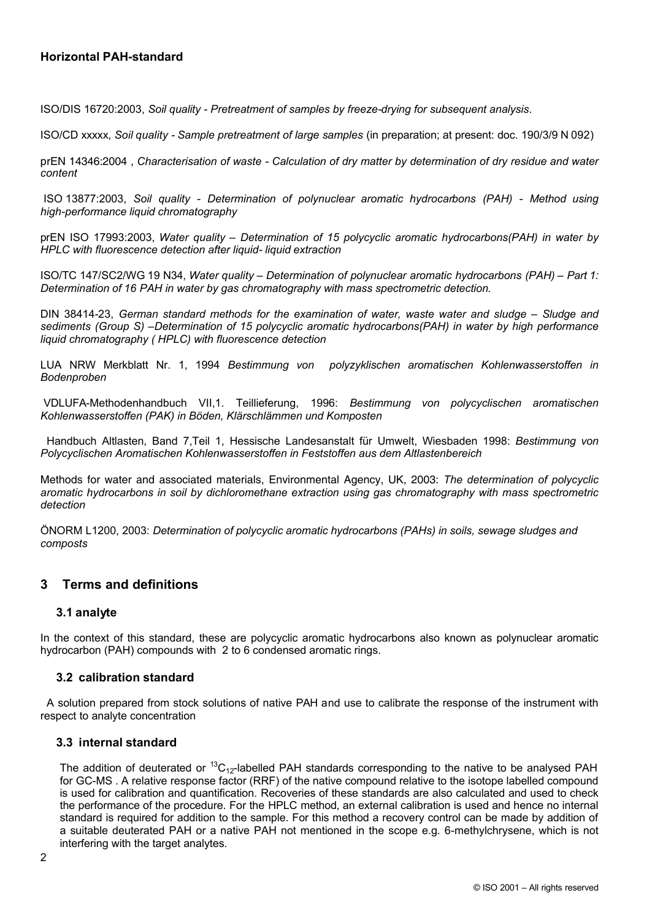ISO/DIS 16720:2003, *Soil quality - Pretreatment of samples by freeze-drying for subsequent analysis*.

ISO/CD xxxxx, *Soil quality - Sample pretreatment of large samples* (in preparation; at present: doc. 190/3/9 N 092)

prEN 14346:2004 , *Characterisation of waste - Calculation of dry matter by determination of dry residue and water content*

ISO 13877:2003, *Soil quality - Determination of polynuclear aromatic hydrocarbons (PAH) - Method using high-performance liquid chromatography*

prEN ISO 17993:2003, *Water quality – Determination of 15 polycyclic aromatic hydrocarbons(PAH) in water by HPLC with fluorescence detection after liquid- liquid extraction*

ISO/TC 147/SC2/WG 19 N34, *Water quality – Determination of polynuclear aromatic hydrocarbons (PAH) – Part 1: Determination of 16 PAH in water by gas chromatography with mass spectrometric detection.*

DIN 38414-23, *German standard methods for the examination of water, waste water and sludge – Sludge and sediments (Group S) –Determination of 15 polycyclic aromatic hydrocarbons(PAH) in water by high performance liquid chromatography ( HPLC) with fluorescence detection* 

LUA NRW Merkblatt Nr. 1, 1994 *Bestimmung von polyzyklischen aromatischen Kohlenwasserstoffen in Bodenproben*

VDLUFA-Methodenhandbuch VII,1. Teillieferung, 1996: *Bestimmung von polycyclischen aromatischen Kohlenwasserstoffen (PAK) in Böden, Klärschlämmen und Komposten*

Handbuch Altlasten, Band 7,Teil 1, Hessische Landesanstalt für Umwelt, Wiesbaden 1998: *Bestimmung von Polycyclischen Aromatischen Kohlenwasserstoffen in Feststoffen aus dem Altlastenbereich*

Methods for water and associated materials, Environmental Agency, UK, 2003: *The determination of polycyclic aromatic hydrocarbons in soil by dichloromethane extraction using gas chromatography with mass spectrometric detection*

ÖNORM L1200, 2003: *Determination of polycyclic aromatic hydrocarbons (PAHs) in soils, sewage sludges and composts*

# <span id="page-7-0"></span>**3 Terms and definitions**

# **3.1 analyte**

In the context of this standard, these are polycyclic aromatic hydrocarbons also known as polynuclear aromatic hydrocarbon (PAH) compounds with 2 to 6 condensed aromatic rings.

# **3.2 calibration standard**

A solution prepared from stock solutions of native PAH and use to calibrate the response of the instrument with respect to analyte concentration

#### **3.3 internal standard**

The addition of deuterated or  ${}^{13}C_{12}$ -labelled PAH standards corresponding to the native to be analysed PAH for GC-MS . A relative response factor (RRF) of the native compound relative to the isotope labelled compound is used for calibration and quantification. Recoveries of these standards are also calculated and used to check the performance of the procedure. For the HPLC method, an external calibration is used and hence no internal standard is required for addition to the sample. For this method a recovery control can be made by addition of a suitable deuterated PAH or a native PAH not mentioned in the scope e.g. 6-methylchrysene, which is not interfering with the target analytes.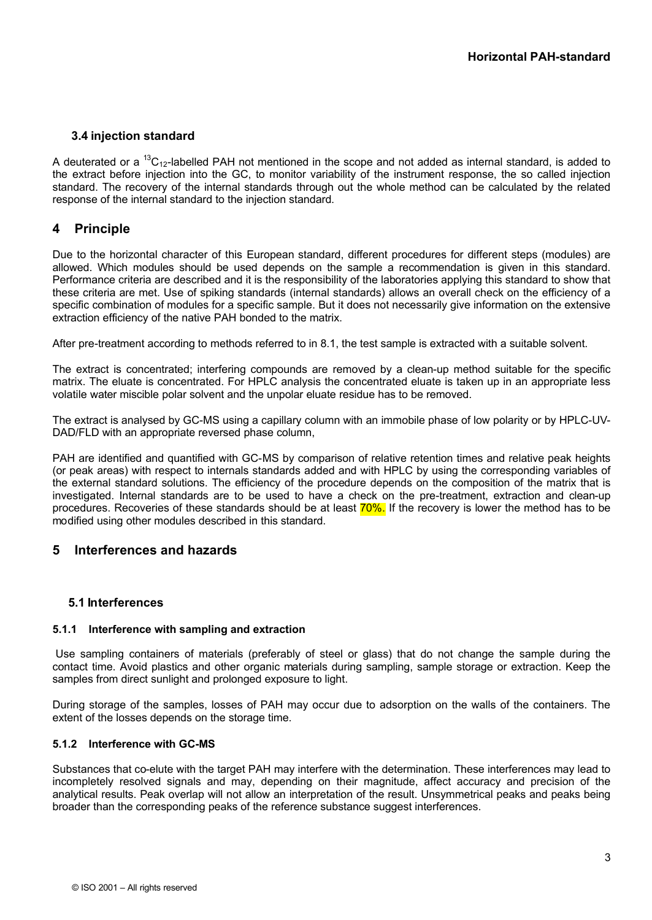# **3.4 injection standard**

A deuterated or a <sup>13</sup>C<sub>12</sub>-labelled PAH not mentioned in the scope and not added as internal standard, is added to the extract before injection into the GC, to monitor variability of the instrument response, the so called injection standard. The recovery of the internal standards through out the whole method can be calculated by the related response of the internal standard to the injection standard.

# <span id="page-8-0"></span>**4 Principle**

Due to the horizontal character of this European standard, different procedures for different steps (modules) are allowed. Which modules should be used depends on the sample a recommendation is given in this standard. Performance criteria are described and it is the responsibility of the laboratories applying this standard to show that these criteria are met. Use of spiking standards (internal standards) allows an overall check on the efficiency of a specific combination of modules for a specific sample. But it does not necessarily give information on the extensive extraction efficiency of the native PAH bonded to the matrix.

After pre-treatment according to methods referred to in 8.1, the test sample is extracted with a suitable solvent.

The extract is concentrated; interfering compounds are removed by a clean-up method suitable for the specific matrix. The eluate is concentrated. For HPLC analysis the concentrated eluate is taken up in an appropriate less volatile water miscible polar solvent and the unpolar eluate residue has to be removed.

The extract is analysed by GC-MS using a capillary column with an immobile phase of low polarity or by HPLC-UV-DAD/FLD with an appropriate reversed phase column,

PAH are identified and quantified with GC-MS by comparison of relative retention times and relative peak heights (or peak areas) with respect to internals standards added and with HPLC by using the corresponding variables of the external standard solutions. The efficiency of the procedure depends on the composition of the matrix that is investigated. Internal standards are to be used to have a check on the pre-treatment, extraction and clean-up procedures. Recoveries of these standards should be at least 70%. If the recovery is lower the method has to be modified using other modules described in this standard.

# **5 Interferences and hazards**

# **5.1 Interferences**

# **5.1.1 Interference with sampling and extraction**

Use sampling containers of materials (preferably of steel or glass) that do not change the sample during the contact time. Avoid plastics and other organic materials during sampling, sample storage or extraction. Keep the samples from direct sunlight and prolonged exposure to light.

During storage of the samples, losses of PAH may occur due to adsorption on the walls of the containers. The extent of the losses depends on the storage time.

# **5.1.2 Interference with GC-MS**

Substances that co-elute with the target PAH may interfere with the determination. These interferences may lead to incompletely resolved signals and may, depending on their magnitude, affect accuracy and precision of the analytical results. Peak overlap will not allow an interpretation of the result. Unsymmetrical peaks and peaks being broader than the corresponding peaks of the reference substance suggest interferences.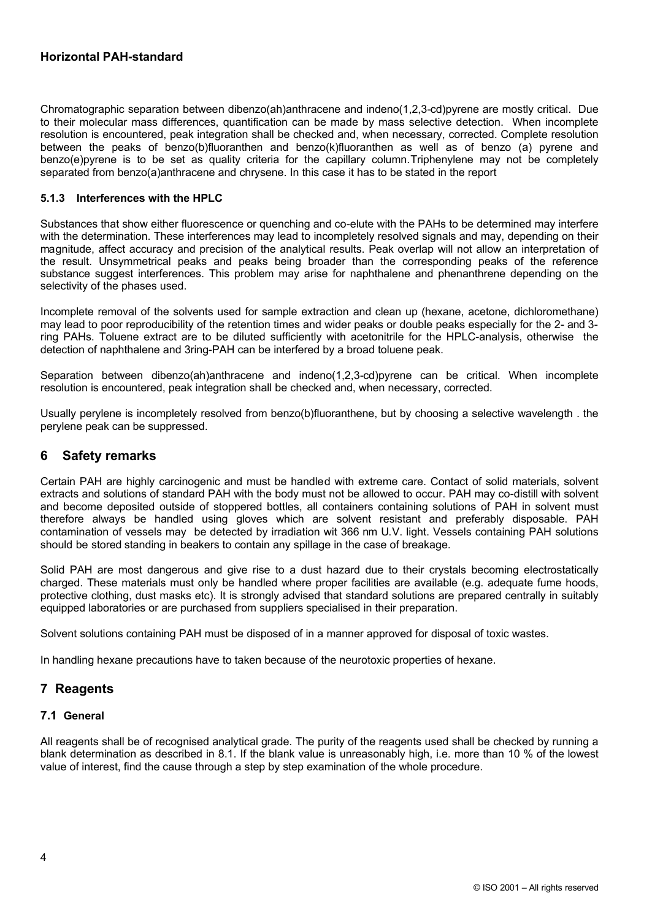Chromatographic separation between dibenzo(ah)anthracene and indeno(1,2,3-cd)pyrene are mostly critical. Due to their molecular mass differences, quantification can be made by mass selective detection. When incomplete resolution is encountered, peak integration shall be checked and, when necessary, corrected. Complete resolution between the peaks of benzo(b)fluoranthen and benzo(k)fluoranthen as well as of benzo (a) pyrene and benzo(e)pyrene is to be set as quality criteria for the capillary column.Triphenylene may not be completely separated from benzo(a)anthracene and chrysene. In this case it has to be stated in the report

#### **5.1.3 Interferences with the HPLC**

Substances that show either fluorescence or quenching and co-elute with the PAHs to be determined may interfere with the determination. These interferences may lead to incompletely resolved signals and may, depending on their magnitude, affect accuracy and precision of the analytical results. Peak overlap will not allow an interpretation of the result. Unsymmetrical peaks and peaks being broader than the corresponding peaks of the reference substance suggest interferences. This problem may arise for naphthalene and phenanthrene depending on the selectivity of the phases used.

Incomplete removal of the solvents used for sample extraction and clean up (hexane, acetone, dichloromethane) may lead to poor reproducibility of the retention times and wider peaks or double peaks especially for the 2- and 3 ring PAHs. Toluene extract are to be diluted sufficiently with acetonitrile for the HPLC-analysis, otherwise the detection of naphthalene and 3ring-PAH can be interfered by a broad toluene peak.

Separation between dibenzo(ah)anthracene and indeno(1,2,3-cd)pyrene can be critical. When incomplete resolution is encountered, peak integration shall be checked and, when necessary, corrected.

Usually perylene is incompletely resolved from benzo(b)fluoranthene, but by choosing a selective wavelength . the perylene peak can be suppressed.

# **6 Safety remarks**

Certain PAH are highly carcinogenic and must be handled with extreme care. Contact of solid materials, solvent extracts and solutions of standard PAH with the body must not be allowed to occur. PAH may co-distill with solvent and become deposited outside of stoppered bottles, all containers containing solutions of PAH in solvent must therefore always be handled using gloves which are solvent resistant and preferably disposable. PAH contamination of vessels may be detected by irradiation wit 366 nm U.V. light. Vessels containing PAH solutions should be stored standing in beakers to contain any spillage in the case of breakage.

Solid PAH are most dangerous and give rise to a dust hazard due to their crystals becoming electrostatically charged. These materials must only be handled where proper facilities are available (e.g. adequate fume hoods, protective clothing, dust masks etc). It is strongly advised that standard solutions are prepared centrally in suitably equipped laboratories or are purchased from suppliers specialised in their preparation.

Solvent solutions containing PAH must be disposed of in a manner approved for disposal of toxic wastes.

In handling hexane precautions have to taken because of the neurotoxic properties of hexane.

# <span id="page-9-0"></span>**7 Reagents**

#### **7.1 General**

All reagents shall be of recognised analytical grade. The purity of the reagents used shall be checked by running a blank determination as described in 8.1. If the blank value is unreasonably high, i.e. more than 10 % of the lowest value of interest, find the cause through a step by step examination of the whole procedure.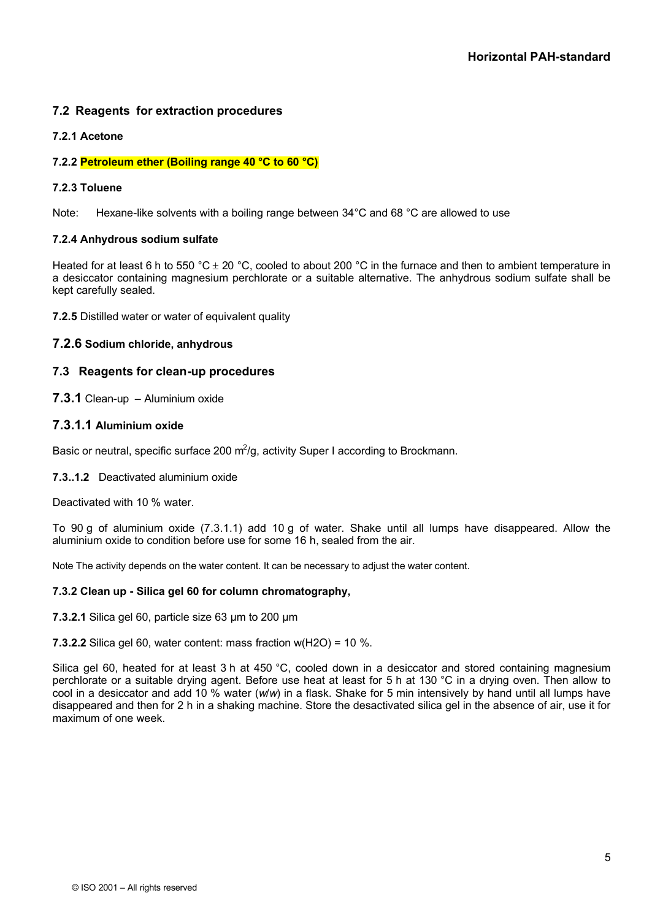# **7.2 Reagents for extraction procedures**

# **7.2.1 Acetone**

#### **7.2.2 Petroleum ether (Boiling range 40 °C to 60 °C)**

#### **7.2.3 Toluene**

Note: Hexane-like solvents with a boiling range between 34°C and 68 °C are allowed to use

#### **7.2.4 Anhydrous sodium sulfate**

Heated for at least 6 h to 550 °C  $\pm$  20 °C, cooled to about 200 °C in the furnace and then to ambient temperature in a desiccator containing magnesium perchlorate or a suitable alternative. The anhydrous sodium sulfate shall be kept carefully sealed.

**7.2.5** Distilled water or water of equivalent quality

#### **7.2.6 Sodium chloride, anhydrous**

# **7.3 Reagents for clean-up procedures**

**7.3.1** Clean-up – Aluminium oxide

# **7.3.1.1 Aluminium oxide**

Basic or neutral, specific surface 200  $m^2/g$ , activity Super I according to Brockmann.

## **7.3..1.2** Deactivated aluminium oxide

Deactivated with 10 % water.

To 90 g of aluminium oxide (7.3.1.1) add 10 g of water. Shake until all lumps have disappeared. Allow the aluminium oxide to condition before use for some 16 h, sealed from the air.

Note The activity depends on the water content. It can be necessary to adjust the water content.

#### **7.3.2 Clean up - Silica gel 60 for column chromatography,**

**7.3.2.1** Silica gel 60, particle size 63 µm to 200 µm

**7.3.2.2** Silica gel 60, water content: mass fraction  $w(H2O) = 10$  %.

Silica gel 60, heated for at least 3 h at 450 °C, cooled down in a desiccator and stored containing magnesium perchlorate or a suitable drying agent. Before use heat at least for 5 h at 130 °C in a drying oven. Then allow to cool in a desiccator and add 10 % water (*w*/*w*) in a flask. Shake for 5 min intensively by hand until all lumps have disappeared and then for 2 h in a shaking machine. Store the desactivated silica gel in the absence of air, use it for maximum of one week.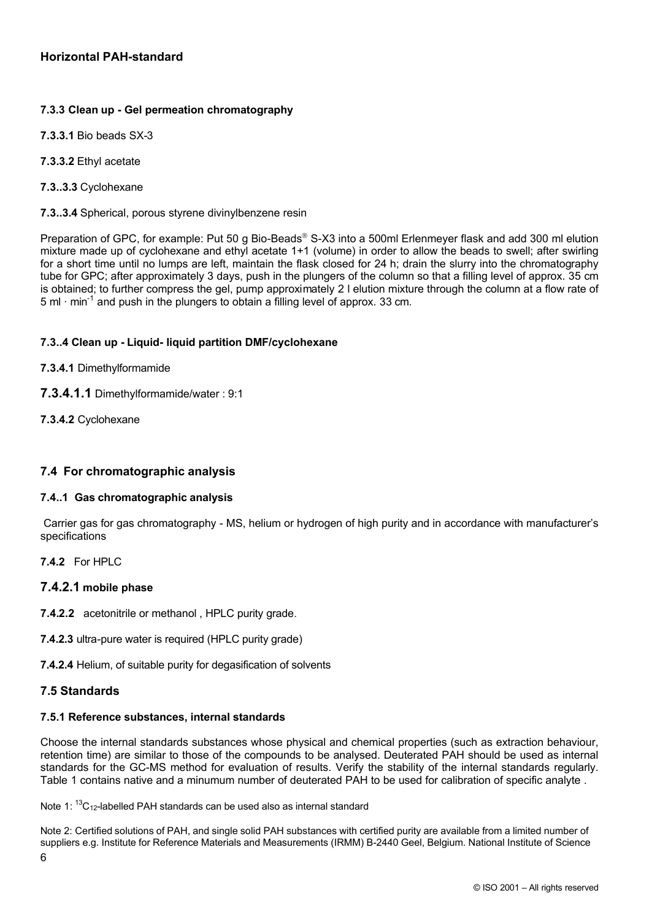# **7.3.3 Clean up - Gel permeation chromatography**

- **7.3.3.1** Bio beads SX-3
- **7.3.3.2** Ethyl acetate
- **7.3..3.3** Cyclohexane
- **7.3..3.4** Spherical, porous styrene divinylbenzene resin

Preparation of GPC, for example: Put 50 g Bio-Beads<sup>®</sup> S-X3 into a 500ml Erlenmeyer flask and add 300 ml elution mixture made up of cyclohexane and ethyl acetate 1+1 (volume) in order to allow the beads to swell; after swirling for a short time until no lumps are left, maintain the flask closed for 24 h; drain the slurry into the chromatography tube for GPC; after approximately 3 days, push in the plungers of the column so that a filling level of approx. 35 cm is obtained; to further compress the gel, pump approximately 2 l elution mixture through the column at a flow rate of 5 ml  $\cdot$  min<sup>-1</sup> and push in the plungers to obtain a filling level of approx. 33 cm.

# **7.3..4 Clean up - Liquid- liquid partition DMF/cyclohexane**

# **7.3.4.1** Dimethylformamide

- **7.3.4.1.1** Dimethylformamide/water : 9:1
- **7.3.4.2** Cyclohexane

# **7.4 For chromatographic analysis**

# **7.4..1 Gas chromatographic analysis**

Carrier gas for gas chromatography - MS, helium or hydrogen of high purity and in accordance with manufacturer's specifications

**7.4.2** For HPLC

# **7.4.2.1 mobile phase**

- **7.4.2.2** acetonitrile or methanol , HPLC purity grade.
- **7.4.2.3** ultra-pure water is required (HPLC purity grade)

**7.4.2.4** Helium, of suitable purity for degasification of solvents

# **7.5 Standards**

#### **7.5.1 Reference substances, internal standards**

Choose the internal standards substances whose physical and chemical properties (such as extraction behaviour, retention time) are similar to those of the compounds to be analysed. Deuterated PAH should be used as internal standards for the GC-MS method for evaluation of results. Verify the stability of the internal standards regularly. Table 1 contains native and a minumum number of deuterated PAH to be used for calibration of specific analyte .

Note 1:  ${}^{13}C_{12}$ -labelled PAH standards can be used also as internal standard

6 Note 2: Certified solutions of PAH, and single solid PAH substances with certified purity are available from a limited number of suppliers e.g. Institute for Reference Materials and Measurements (IRMM) B-2440 Geel, Belgium. National Institute of Science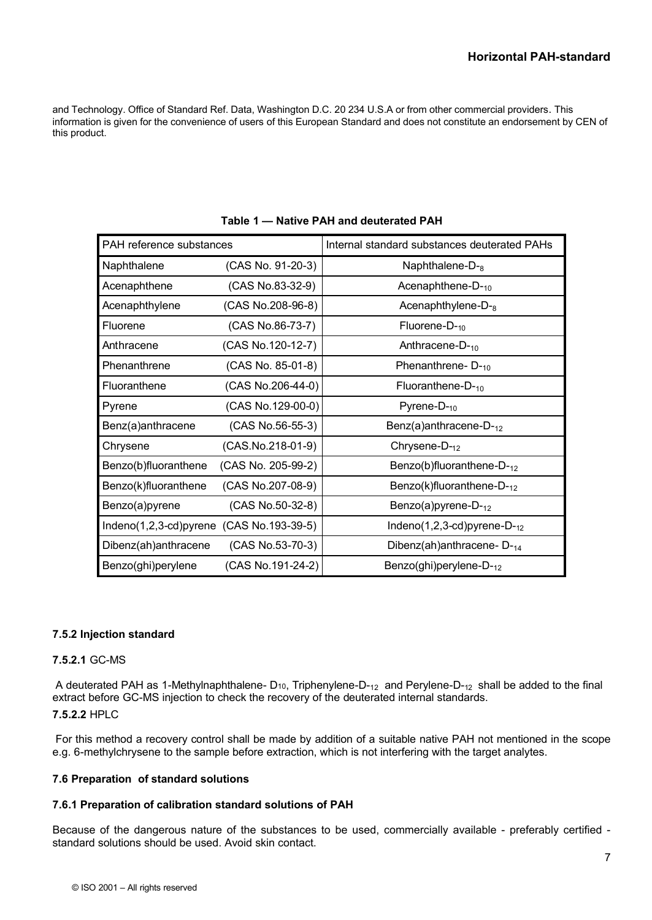and Technology. Office of Standard Ref. Data, Washington D.C. 20 234 U.S.A or from other commercial providers. This information is given for the convenience of users of this European Standard and does not constitute an endorsement by CEN of this product.

| PAH reference substances                 |                    | Internal standard substances deuterated PAHs |
|------------------------------------------|--------------------|----------------------------------------------|
| Naphthalene                              | (CAS No. 91-20-3)  | Naphthalene- $D_{-8}$                        |
| Acenaphthene                             | (CAS No.83-32-9)   | Acenaphthene- $D_{10}$                       |
| Acenaphthylene                           | (CAS No.208-96-8)  | Acenaphthylene- $D_{-8}$                     |
| Fluorene                                 | (CAS No.86-73-7)   | Fluorene- $D_{-10}$                          |
| Anthracene                               | (CAS No.120-12-7)  | Anthracene-D-10                              |
| Phenanthrene                             | (CAS No. 85-01-8)  | Phenanthrene-D-10                            |
| Fluoranthene                             | (CAS No.206-44-0)  | Fluoranthene- $D_{10}$                       |
| Pyrene                                   | (CAS No.129-00-0)  | Pyrene- $D_{10}$                             |
| Benz(a)anthracene                        | (CAS No.56-55-3)   | Benz(a)anthracene- $D_{-12}$                 |
| Chrysene                                 | (CAS.No.218-01-9)  | Chrysene- $D_{-12}$                          |
| Benzo(b)fluoranthene                     | (CAS No. 205-99-2) | Benzo(b)fluoranthene- $D_{-12}$              |
| Benzo(k)fluoranthene                     | (CAS No.207-08-9)  | Benzo(k)fluoranthene- $D_{12}$               |
| Benzo(a)pyrene                           | (CAS No.50-32-8)   | Benzo(a) pyrene- $D_{-12}$                   |
| Indeno(1,2,3-cd)pyrene (CAS No.193-39-5) |                    | Indeno(1,2,3-cd)pyrene-D- $_{12}$            |
| Dibenz(ah)anthracene                     | (CAS No.53-70-3)   | Dibenz(ah)anthracene- $D_{14}$               |
| Benzo(ghi)perylene                       | (CAS No.191-24-2)  | Benzo(ghi)perylene- $D_{12}$                 |

**Table 1 — Native PAH and deuterated PAH**

# **7.5.2 Injection standard**

# **7.5.2.1** GC-MS

A deuterated PAH as 1-Methylnaphthalene- D<sub>10</sub>, Triphenylene-D-<sub>12</sub> and Perylene-D-<sub>12</sub> shall be added to the final extract before GC-MS injection to check the recovery of the deuterated internal standards. **7.5.2.2** HPLC

For this method a recovery control shall be made by addition of a suitable native PAH not mentioned in the scope e.g. 6-methylchrysene to the sample before extraction, which is not interfering with the target analytes.

# **7.6 Preparation of standard solutions**

# **7.6.1 Preparation of calibration standard solutions of PAH**

Because of the dangerous nature of the substances to be used, commercially available - preferably certified standard solutions should be used. Avoid skin contact.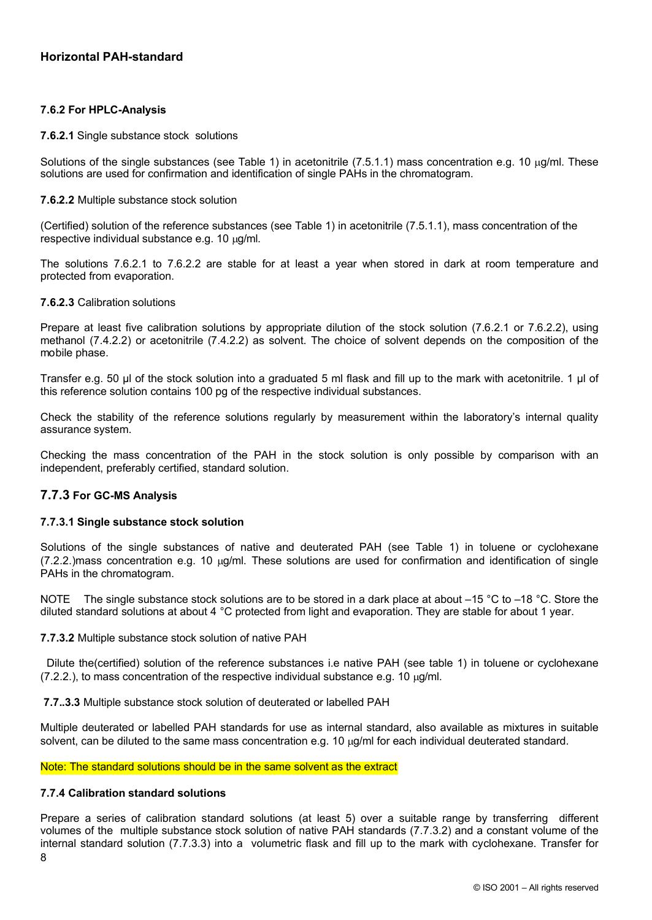## **7.6.2 For HPLC-Analysis**

#### **7.6.2.1** Single substance stock solutions

Solutions of the single substances (see Table 1) in acetonitrile (7.5.1.1) mass concentration e.g. 10  $\mu$ g/ml. These solutions are used for confirmation and identification of single PAHs in the chromatogram.

#### **7.6.2.2** Multiple substance stock solution

(Certified) solution of the reference substances (see Table 1) in acetonitrile (7.5.1.1), mass concentration of the respective individual substance e.g. 10  $\mu$ g/ml.

The solutions 7.6.2.1 to 7.6.2.2 are stable for at least a year when stored in dark at room temperature and protected from evaporation.

#### **7.6.2.3** Calibration solutions

Prepare at least five calibration solutions by appropriate dilution of the stock solution (7.6.2.1 or 7.6.2.2), using methanol (7.4.2.2) or acetonitrile (7.4.2.2) as solvent. The choice of solvent depends on the composition of the mobile phase.

Transfer e.g. 50 µl of the stock solution into a graduated 5 ml flask and fill up to the mark with acetonitrile. 1 µl of this reference solution contains 100 pg of the respective individual substances.

Check the stability of the reference solutions regularly by measurement within the laboratory's internal quality assurance system.

Checking the mass concentration of the PAH in the stock solution is only possible by comparison with an independent, preferably certified, standard solution.

#### **7.7.3 For GC-MS Analysis**

#### **7.7.3.1 Single substance stock solution**

Solutions of the single substances of native and deuterated PAH (see Table 1) in toluene or cyclohexane  $(7.2.2.)$  mass concentration e.g. 10  $\mu$ g/ml. These solutions are used for confirmation and identification of single PAHs in the chromatogram.

NOTE The single substance stock solutions are to be stored in a dark place at about  $-15$  °C to  $-18$  °C. Store the diluted standard solutions at about 4 °C protected from light and evaporation. They are stable for about 1 year.

**7.7.3.2** Multiple substance stock solution of native PAH

Dilute the(certified) solution of the reference substances i.e native PAH (see table 1) in toluene or cyclohexane  $(7.2.2.)$ , to mass concentration of the respective individual substance e.g. 10  $\mu$ g/ml.

**7.7..3.3** Multiple substance stock solution of deuterated or labelled PAH

Multiple deuterated or labelled PAH standards for use as internal standard, also available as mixtures in suitable solvent, can be diluted to the same mass concentration e.g. 10  $\mu$ g/ml for each individual deuterated standard.

Note: The standard solutions should be in the same solvent as the extract

#### **7.7.4 Calibration standard solutions**

8 Prepare a series of calibration standard solutions (at least 5) over a suitable range by transferring different volumes of the multiple substance stock solution of native PAH standards (7.7.3.2) and a constant volume of the internal standard solution (7.7.3.3) into a volumetric flask and fill up to the mark with cyclohexane. Transfer for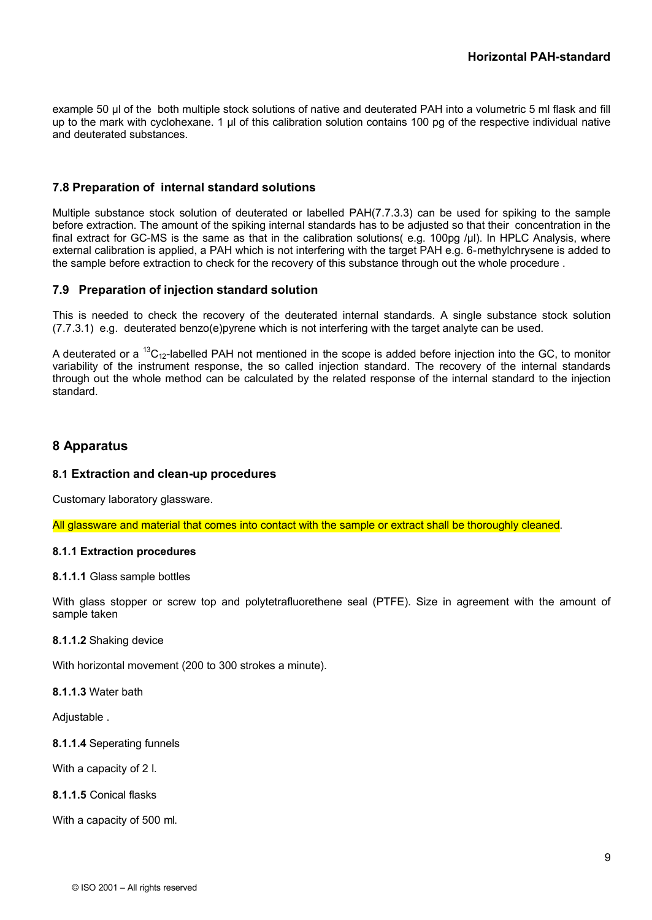example 50 µl of the both multiple stock solutions of native and deuterated PAH into a volumetric 5 ml flask and fill up to the mark with cyclohexane. 1 µl of this calibration solution contains 100 pg of the respective individual native and deuterated substances.

# **7.8 Preparation of internal standard solutions**

Multiple substance stock solution of deuterated or labelled PAH(7.7.3.3) can be used for spiking to the sample before extraction. The amount of the spiking internal standards has to be adjusted so that their concentration in the final extract for GC-MS is the same as that in the calibration solutions( e.g. 100pg /µl). In HPLC Analysis, where external calibration is applied, a PAH which is not interfering with the target PAH e.g. 6-methylchrysene is added to the sample before extraction to check for the recovery of this substance through out the whole procedure .

# **7.9 Preparation of injection standard solution**

This is needed to check the recovery of the deuterated internal standards. A single substance stock solution (7.7.3.1) e.g. deuterated benzo(e)pyrene which is not interfering with the target analyte can be used.

A deuterated or a <sup>13</sup>C<sub>12</sub>-labelled PAH not mentioned in the scope is added before injection into the GC, to monitor variability of the instrument response, the so called injection standard. The recovery of the internal standards through out the whole method can be calculated by the related response of the internal standard to the injection standard.

# <span id="page-14-0"></span>**8 Apparatus**

#### **8.1 Extraction and clean-up procedures**

Customary laboratory glassware.

All glassware and material that comes into contact with the sample or extract shall be thoroughly cleaned.

#### **8.1.1 Extraction procedures**

#### **8.1.1.1** Glass sample bottles

With glass stopper or screw top and polytetrafluorethene seal (PTFE). Size in agreement with the amount of sample taken

#### **8.1.1.2** Shaking device

With horizontal movement (200 to 300 strokes a minute).

**8.1.1.3** Water bath

Adjustable .

**8.1.1.4** Seperating funnels

With a capacity of 2 l.

**8.1.1.5** Conical flasks

With a capacity of 500 ml.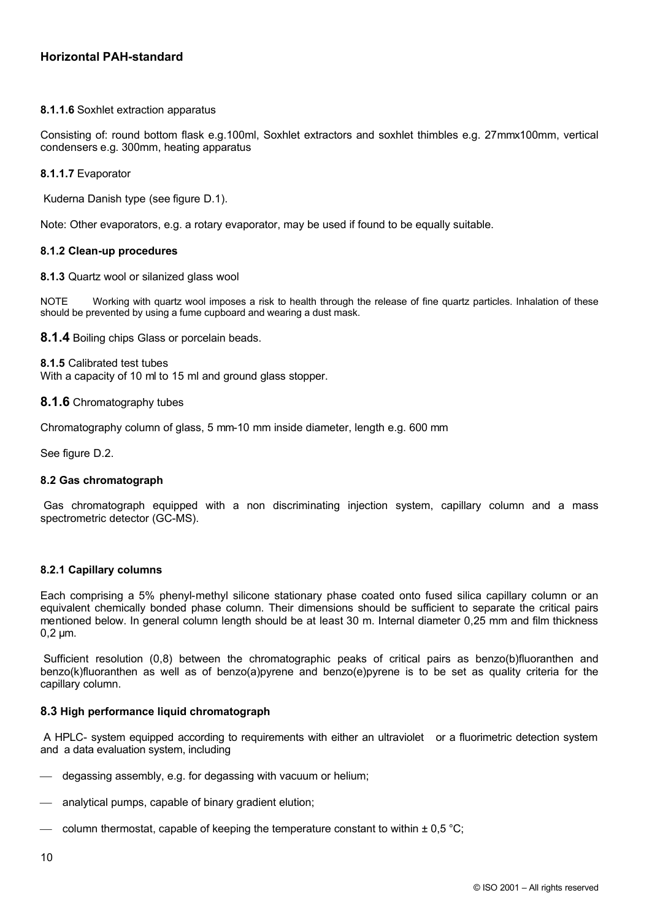**8.1.1.6** Soxhlet extraction apparatus

Consisting of: round bottom flask e.g.100ml, Soxhlet extractors and soxhlet thimbles e.g. 27mmx100mm, vertical condensers e.g. 300mm, heating apparatus

**8.1.1.7** Evaporator

Kuderna Danish type (see figure D.1).

Note: Other evaporators, e.g. a rotary evaporator, may be used if found to be equally suitable.

#### **8.1.2 Clean-up procedures**

**8.1.3** Quartz wool or silanized glass wool

NOTE Working with quartz wool imposes a risk to health through the release of fine quartz particles. Inhalation of these should be prevented by using a fume cupboard and wearing a dust mask.

**8.1.4** Boiling chips Glass or porcelain beads.

**8.1.5** Calibrated test tubes With a capacity of 10 ml to 15 ml and ground glass stopper.

#### **8.1.6** Chromatography tubes

Chromatography column of glass, 5 mm-10 mm inside diameter, length e.g. 600 mm

See figure D.2.

#### **8.2 Gas chromatograph**

Gas chromatograph equipped with a non discriminating injection system, capillary column and a mass spectrometric detector (GC-MS).

#### **8.2.1 Capillary columns**

Each comprising a 5% phenyl-methyl silicone stationary phase coated onto fused silica capillary column or an equivalent chemically bonded phase column. Their dimensions should be sufficient to separate the critical pairs mentioned below. In general column length should be at least 30 m. Internal diameter 0,25 mm and film thickness 0,2 μm.

Sufficient resolution (0,8) between the chromatographic peaks of critical pairs as benzo(b)fluoranthen and benzo(k)fluoranthen as well as of benzo(a)pyrene and benzo(e)pyrene is to be set as quality criteria for the capillary column.

#### **8.3 High performance liquid chromatograph**

A HPLC- system equipped according to requirements with either an ultraviolet or a fluorimetric detection system and a data evaluation system, including

- degassing assembly, e.g. for degassing with vacuum or helium;
- analytical pumps, capable of binary gradient elution;
- column thermostat, capable of keeping the temperature constant to within  $\pm$  0,5 °C;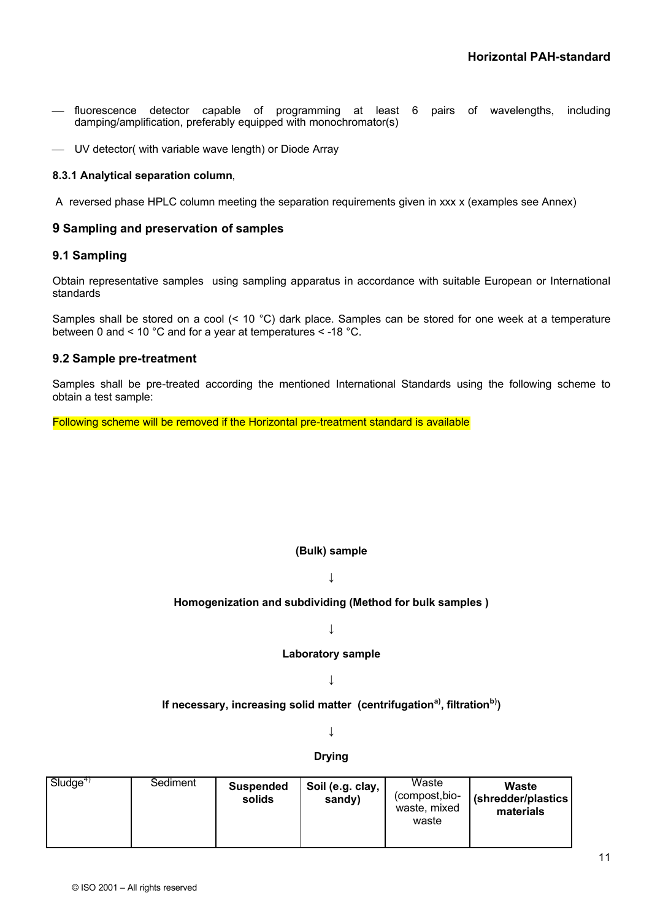- ¾ fluorescence detector capable of programming at least 6 pairs of wavelengths, including damping/amplification, preferably equipped with monochromator(s)
- ¾ UV detector( with variable wave length) or Diode Array

## **8.3.1 Analytical separation column**,

A reversed phase HPLC column meeting the separation requirements given in xxx x (examples see Annex)

## **9 Sampling and preservation of samples**

# **9.1 Sampling**

Obtain representative samples using sampling apparatus in accordance with suitable European or International standards

Samples shall be stored on a cool (< 10 °C) dark place. Samples can be stored for one week at a temperature between 0 and < 10 °C and for a year at temperatures < -18 °C.

#### <span id="page-16-0"></span>**9.2 Sample pre-treatment**

Samples shall be pre-treated according the mentioned International Standards using the following scheme to obtain a test sample:

Following scheme will be removed if the Horizontal pre-treatment standard is available

# **(Bulk) sample**

**↓**

#### **Homogenization and subdividing (Method for bulk samples )**

**↓**

#### **Laboratory sample**

**↓**

# **If necessary, increasing solid matter (centrifugationa) , filtrationb) )**

**↓**

#### **Drying**

| Sludge <sup>4</sup><br>Sediment | <b>Suspended</b><br>solids | Soil (e.g. clay,<br>sandy) | Waste<br>(compost,bio-<br>waste, mixed<br>waste | Waste<br>(shredder/plastics<br>materials |
|---------------------------------|----------------------------|----------------------------|-------------------------------------------------|------------------------------------------|
|---------------------------------|----------------------------|----------------------------|-------------------------------------------------|------------------------------------------|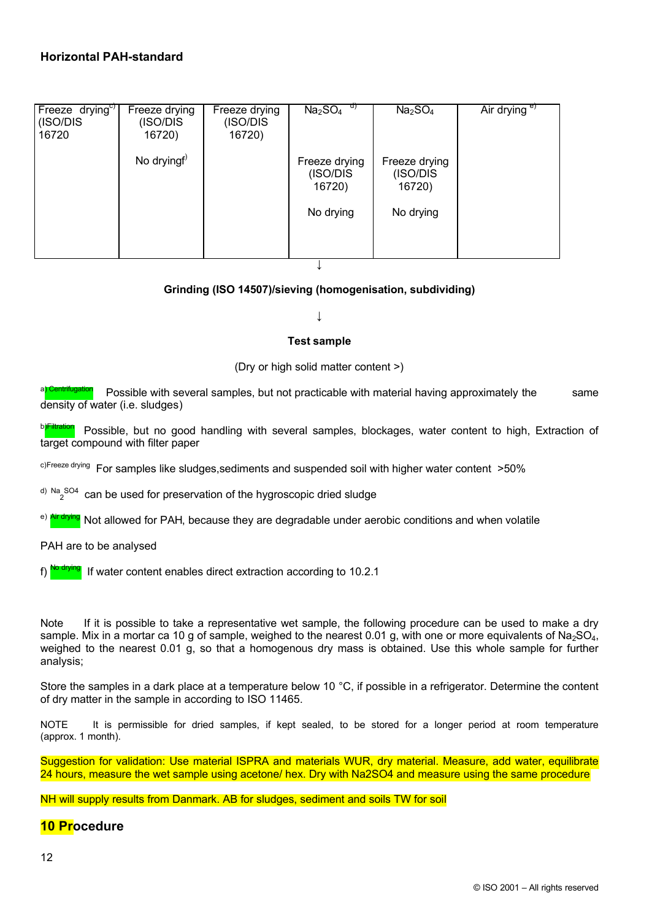| Freeze drying <sup>c</sup><br>(ISO/DIS<br>16720 | Freeze drying<br>(ISO/DIS<br>16720) | Freeze drying<br>(ISO/DIS<br>16720) | U)<br>Na <sub>2</sub> SO <sub>4</sub>            | Na <sub>2</sub> SO <sub>4</sub>                  | Air drying e) |
|-------------------------------------------------|-------------------------------------|-------------------------------------|--------------------------------------------------|--------------------------------------------------|---------------|
|                                                 | No dryingf                          |                                     | Freeze drying<br>(ISO/DIS<br>16720)<br>No drying | Freeze drying<br>(ISO/DIS<br>16720)<br>No drying |               |

↓

# **Grinding (ISO 14507)/sieving (homogenisation, subdividing)**

**↓**

#### **Test sample**

(Dry or high solid matter content >)

Possible with several samples, but not practicable with material having approximately the same density of water (i.e. sludges)

b)Filtration Possible, but no good handling with several samples, blockages, water content to high, Extraction of target compound with filter paper

c)Freeze drying For samples like sludges, sediments and suspended soil with higher water content >50%

 $\frac{d}{2}$ <sup>Na SO4</sup> can be used for preservation of the hygroscopic dried sludge

<sup>e)</sup> Airdrying Not allowed for PAH, because they are degradable under aerobic conditions and when volatile

PAH are to be analysed

f) No drying If water content enables direct extraction according to 10.2.1

Note If it is possible to take a representative wet sample, the following procedure can be used to make a dry sample. Mix in a mortar ca 10 g of sample, weighed to the nearest 0.01 g, with one or more equivalents of Na<sub>2</sub>SO<sub>4</sub>, weighed to the nearest 0.01 g, so that a homogenous dry mass is obtained. Use this whole sample for further analysis;

Store the samples in a dark place at a temperature below 10 °C, if possible in a refrigerator. Determine the content of dry matter in the sample in according to ISO 11465.

NOTE It is permissible for dried samples, if kept sealed, to be stored for a longer period at room temperature (approx. 1 month).

Suggestion for validation: Use material ISPRA and materials WUR, dry material. Measure, add water, equilibrate 24 hours, measure the wet sample using acetone/ hex. Dry with Na2SO4 and measure using the same procedure

NH will supply results from Danmark. AB for sludges, sediment and soils TW for soil

# <span id="page-17-0"></span>**10 Procedure**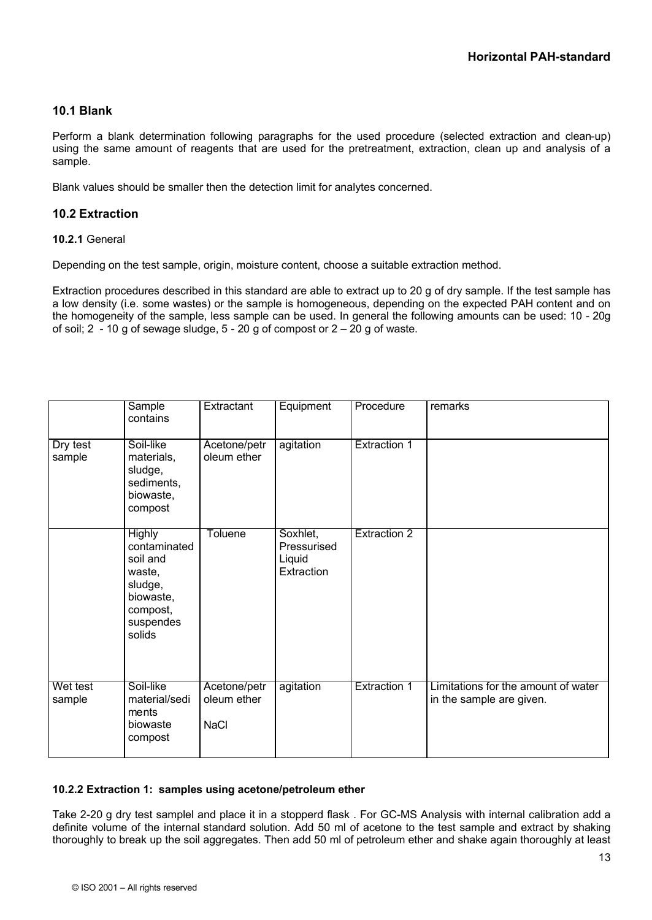# **10.1 Blank**

Perform a blank determination following paragraphs for the used procedure (selected extraction and clean-up) using the same amount of reagents that are used for the pretreatment, extraction, clean up and analysis of a sample.

Blank values should be smaller then the detection limit for analytes concerned.

# **10.2 Extraction**

#### **10.2.1** General

Depending on the test sample, origin, moisture content, choose a suitable extraction method.

Extraction procedures described in this standard are able to extract up to 20 g of dry sample. If the test sample has a low density (i.e. some wastes) or the sample is homogeneous, depending on the expected PAH content and on the homogeneity of the sample, less sample can be used. In general the following amounts can be used: 10 - 20g of soil;  $2 - 10$  g of sewage sludge,  $5 - 20$  g of compost or  $2 - 20$  g of waste.

|                    | Sample<br>contains                                                                                             | Extractant                                 | Equipment                                       | Procedure           | remarks                                                         |
|--------------------|----------------------------------------------------------------------------------------------------------------|--------------------------------------------|-------------------------------------------------|---------------------|-----------------------------------------------------------------|
| Dry test<br>sample | Soil-like<br>materials,<br>sludge,<br>sediments,<br>biowaste,<br>compost                                       | Acetone/petr<br>oleum ether                | agitation                                       | <b>Extraction 1</b> |                                                                 |
|                    | <b>Highly</b><br>contaminated<br>soil and<br>waste,<br>sludge,<br>biowaste,<br>compost,<br>suspendes<br>solids | <b>Toluene</b>                             | Soxhlet,<br>Pressurised<br>Liquid<br>Extraction | <b>Extraction 2</b> |                                                                 |
| Wet test<br>sample | Soil-like<br>material/sedi<br>ments<br>biowaste<br>compost                                                     | Acetone/petr<br>oleum ether<br><b>NaCl</b> | agitation                                       | <b>Extraction 1</b> | Limitations for the amount of water<br>in the sample are given. |

# **10.2.2 Extraction 1: samples using acetone/petroleum ether**

Take 2-20 g dry test samplel and place it in a stopperd flask . For GC-MS Analysis with internal calibration add a definite volume of the internal standard solution. Add 50 ml of acetone to the test sample and extract by shaking thoroughly to break up the soil aggregates. Then add 50 ml of petroleum ether and shake again thoroughly at least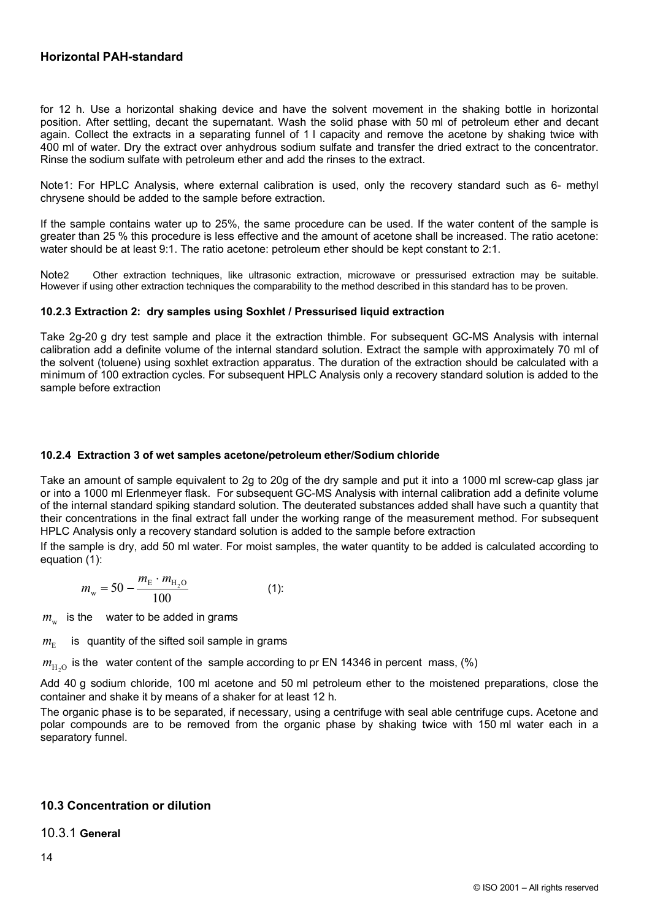for 12 h. Use a horizontal shaking device and have the solvent movement in the shaking bottle in horizontal position. After settling, decant the supernatant. Wash the solid phase with 50 ml of petroleum ether and decant again. Collect the extracts in a separating funnel of 1 l capacity and remove the acetone by shaking twice with 400 ml of water. Dry the extract over anhydrous sodium sulfate and transfer the dried extract to the concentrator. Rinse the sodium sulfate with petroleum ether and add the rinses to the extract.

Note1: For HPLC Analysis, where external calibration is used, only the recovery standard such as 6- methyl chrysene should be added to the sample before extraction.

If the sample contains water up to 25%, the same procedure can be used. If the water content of the sample is greater than 25 % this procedure is less effective and the amount of acetone shall be increased. The ratio acetone: water should be at least 9:1. The ratio acetone: petroleum ether should be kept constant to 2:1.

Note2 Other extraction techniques, like ultrasonic extraction, microwave or pressurised extraction may be suitable. However if using other extraction techniques the comparability to the method described in this standard has to be proven.

#### **10.2.3 Extraction 2: dry samples using Soxhlet / Pressurised liquid extraction**

Take 2g-20 g dry test sample and place it the extraction thimble. For subsequent GC-MS Analysis with internal calibration add a definite volume of the internal standard solution. Extract the sample with approximately 70 ml of the solvent (toluene) using soxhlet extraction apparatus. The duration of the extraction should be calculated with a minimum of 100 extraction cycles. For subsequent HPLC Analysis only a recovery standard solution is added to the sample before extraction

## **10.2.4 Extraction 3 of wet samples acetone/petroleum ether/Sodium chloride**

Take an amount of sample equivalent to 2g to 20g of the dry sample and put it into a 1000 ml screw-cap glass jar or into a 1000 ml Erlenmeyer flask. For subsequent GC-MS Analysis with internal calibration add a definite volume of the internal standard spiking standard solution. The deuterated substances added shall have such a quantity that their concentrations in the final extract fall under the working range of the measurement method. For subsequent HPLC Analysis only a recovery standard solution is added to the sample before extraction

If the sample is dry, add 50 ml water. For moist samples, the water quantity to be added is calculated according to equation (1):

$$
m_{\rm w} = 50 - \frac{m_{\rm E} \cdot m_{\rm H_2O}}{100} \tag{1}
$$

 $m_{_{\rm W}}$  is the water to be added in grams

 $m_{\rm E}$ is quantity of the sifted soil sample in grams

 $m_{\text{H}_2\text{O}}$  is the water content of the sample according to pr EN 14346 in percent mass, (%)

Add 40 g sodium chloride, 100 ml acetone and 50 ml petroleum ether to the moistened preparations, close the container and shake it by means of a shaker for at least 12 h.

The organic phase is to be separated, if necessary, using a centrifuge with seal able centrifuge cups. Acetone and polar compounds are to be removed from the organic phase by shaking twice with 150 ml water each in a separatory funnel.

# **10.3 Concentration or dilution**

10.3.1 **General**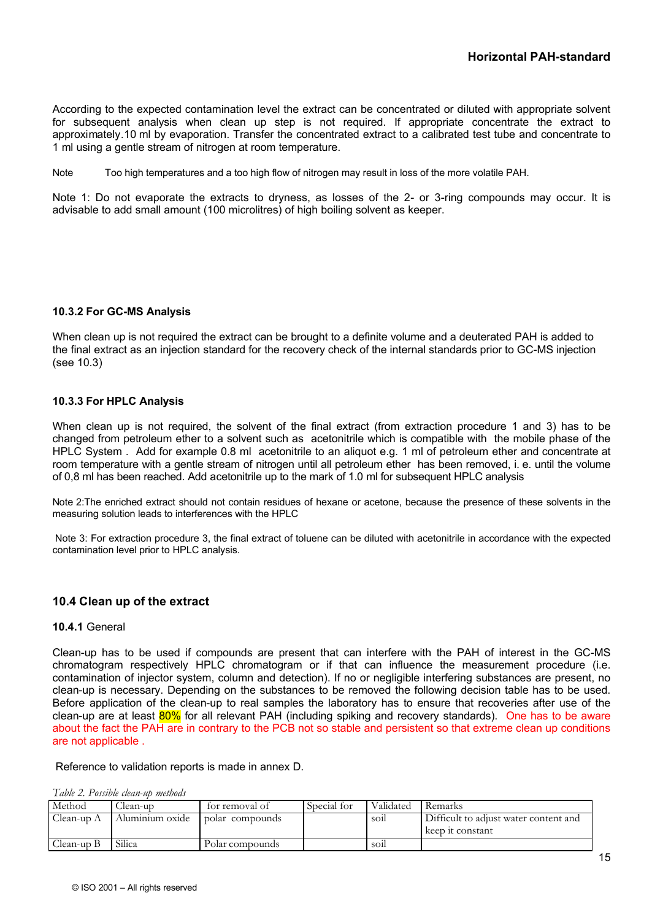According to the expected contamination level the extract can be concentrated or diluted with appropriate solvent for subsequent analysis when clean up step is not required. If appropriate concentrate the extract to approximately.10 ml by evaporation. Transfer the concentrated extract to a calibrated test tube and concentrate to 1 ml using a gentle stream of nitrogen at room temperature.

Note Too high temperatures and a too high flow of nitrogen may result in loss of the more volatile PAH.

Note 1: Do not evaporate the extracts to dryness, as losses of the 2- or 3-ring compounds may occur. It is advisable to add small amount (100 microlitres) of high boiling solvent as keeper.

#### **10.3.2 For GC-MS Analysis**

When clean up is not required the extract can be brought to a definite volume and a deuterated PAH is added to the final extract as an injection standard for the recovery check of the internal standards prior to GC-MS injection (see 10.3)

#### **10.3.3 For HPLC Analysis**

When clean up is not required, the solvent of the final extract (from extraction procedure 1 and 3) has to be changed from petroleum ether to a solvent such as acetonitrile which is compatible with the mobile phase of the HPLC System . Add for example 0.8 ml acetonitrile to an aliquot e.g. 1 ml of petroleum ether and concentrate at room temperature with a gentle stream of nitrogen until all petroleum ether has been removed, i. e. until the volume of 0,8 ml has been reached. Add acetonitrile up to the mark of 1.0 ml for subsequent HPLC analysis

Note 2:The enriched extract should not contain residues of hexane or acetone, because the presence of these solvents in the measuring solution leads to interferences with the HPLC

Note 3: For extraction procedure 3, the final extract of toluene can be diluted with acetonitrile in accordance with the expected contamination level prior to HPLC analysis.

# **10.4 Clean up of the extract**

#### **10.4.1** General

Clean-up has to be used if compounds are present that can interfere with the PAH of interest in the GC-MS chromatogram respectively HPLC chromatogram or if that can influence the measurement procedure (i.e. contamination of injector system, column and detection). If no or negligible interfering substances are present, no clean-up is necessary. Depending on the substances to be removed the following decision table has to be used. Before application of the clean-up to real samples the laboratory has to ensure that recoveries after use of the clean-up are at least 80% for all relevant PAH (including spiking and recovery standards). One has to be aware about the fact the PAH are in contrary to the PCB not so stable and persistent so that extreme clean up conditions are not applicable .

#### Reference to validation reports is made in annex D.

| Table 2. Possible clean-up methods |  |  |  |  |
|------------------------------------|--|--|--|--|
|------------------------------------|--|--|--|--|

| Method     | .lean-up        | tor removal of  | Special for | Validated       | Remarks                                                   |
|------------|-----------------|-----------------|-------------|-----------------|-----------------------------------------------------------|
| Clean-up A | Aluminium oxide | polar compounds |             | SO <sub>1</sub> | Difficult to adjust water content and<br>keep it constant |
| Llean-un B | Silica          | Polar compounds |             | SO <sub>1</sub> |                                                           |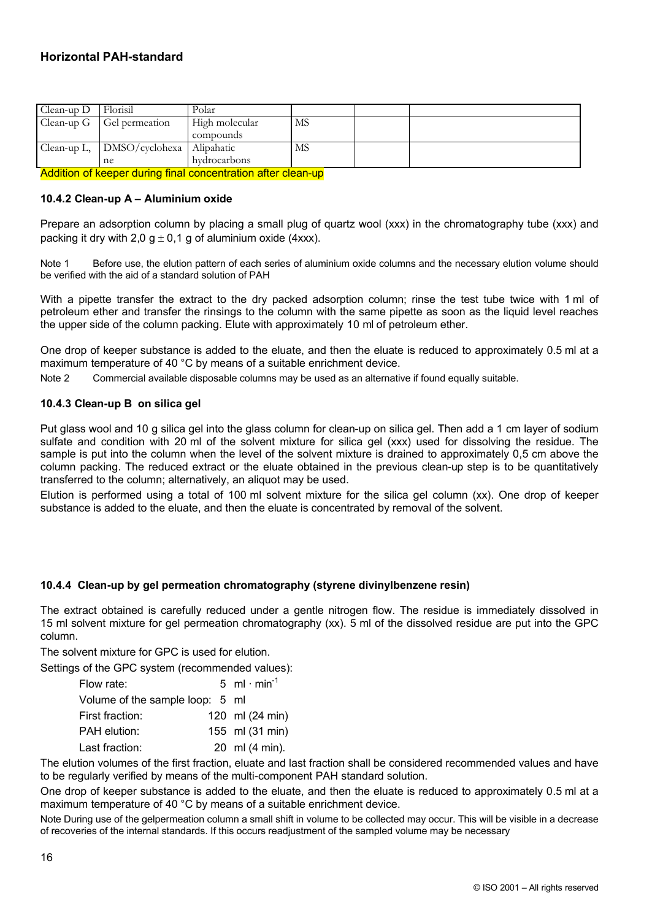| Clean-up G<br>MS<br>High molecular<br>Gel permeation<br>compounds<br>Clean-up L, DMSO/cyclohexa Alipahatic<br>MS | $Clean-up D$ | Florisil | Polar |  |  |
|------------------------------------------------------------------------------------------------------------------|--------------|----------|-------|--|--|
|                                                                                                                  |              |          |       |  |  |
|                                                                                                                  |              |          |       |  |  |
|                                                                                                                  |              |          |       |  |  |
| hydrocarbons<br>ne                                                                                               |              |          |       |  |  |

Addition of keeper during final concentration after clean-up

#### **10.4.2 Clean-up A – Aluminium oxide**

Prepare an adsorption column by placing a small plug of quartz wool (xxx) in the chromatography tube (xxx) and packing it dry with 2,0  $g \pm 0.1$  g of aluminium oxide (4xxx).

Note 1 Before use, the elution pattern of each series of aluminium oxide columns and the necessary elution volume should be verified with the aid of a standard solution of PAH

With a pipette transfer the extract to the dry packed adsorption column; rinse the test tube twice with 1 ml of petroleum ether and transfer the rinsings to the column with the same pipette as soon as the liquid level reaches the upper side of the column packing. Elute with approximately 10 ml of petroleum ether.

One drop of keeper substance is added to the eluate, and then the eluate is reduced to approximately 0.5 ml at a maximum temperature of 40 °C by means of a suitable enrichment device.

Note 2 Commercial available disposable columns may be used as an alternative if found equally suitable.

#### **10.4.3 Clean-up B on silica gel**

Put glass wool and 10 g silica gel into the glass column for clean-up on silica gel. Then add a 1 cm layer of sodium sulfate and condition with 20 ml of the solvent mixture for silica gel (xxx) used for dissolving the residue. The sample is put into the column when the level of the solvent mixture is drained to approximately 0,5 cm above the column packing. The reduced extract or the eluate obtained in the previous clean-up step is to be quantitatively transferred to the column; alternatively, an aliquot may be used.

Elution is performed using a total of 100 ml solvent mixture for the silica gel column (xx). One drop of keeper substance is added to the eluate, and then the eluate is concentrated by removal of the solvent.

# **10.4.4 Clean-up by gel permeation chromatography (styrene divinylbenzene resin)**

The extract obtained is carefully reduced under a gentle nitrogen flow. The residue is immediately dissolved in 15 ml solvent mixture for gel permeation chromatography (xx). 5 ml of the dissolved residue are put into the GPC column.

The solvent mixture for GPC is used for elution.

Settings of the GPC system (recommended values):

| Flow rate:                      | 5 ml $\cdot$ min <sup>-1</sup> |
|---------------------------------|--------------------------------|
| Volume of the sample loop: 5 ml |                                |
| First fraction:                 | 120 ml (24 min)                |
| PAH elution:                    | 155 ml (31 min)                |
| Last fraction:                  | 20 ml (4 min).                 |

The elution volumes of the first fraction, eluate and last fraction shall be considered recommended values and have to be regularly verified by means of the multi-component PAH standard solution.

One drop of keeper substance is added to the eluate, and then the eluate is reduced to approximately 0.5 ml at a maximum temperature of 40 °C by means of a suitable enrichment device.

Note During use of the gelpermeation column a small shift in volume to be collected may occur. This will be visible in a decrease of recoveries of the internal standards. If this occurs readjustment of the sampled volume may be necessary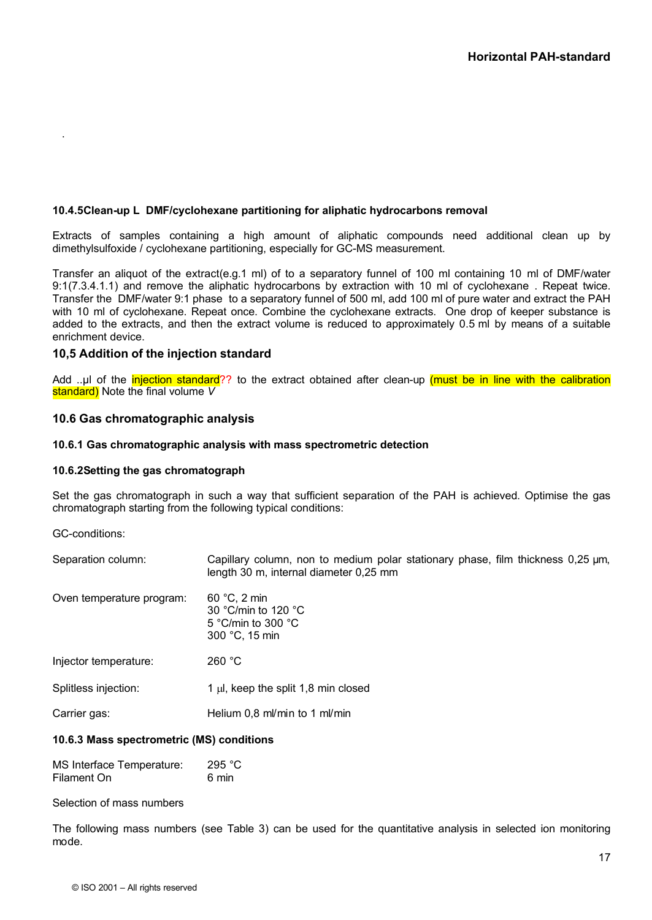#### **10.4.5Clean-up L DMF/cyclohexane partitioning for aliphatic hydrocarbons removal**

Extracts of samples containing a high amount of aliphatic compounds need additional clean up by dimethylsulfoxide / cyclohexane partitioning, especially for GC-MS measurement.

Transfer an aliquot of the extract(e.g.1 ml) of to a separatory funnel of 100 ml containing 10 ml of DMF/water 9:1(7.3.4.1.1) and remove the aliphatic hydrocarbons by extraction with 10 ml of cyclohexane . Repeat twice. Transfer the DMF/water 9:1 phase to a separatory funnel of 500 ml, add 100 ml of pure water and extract the PAH with 10 ml of cyclohexane. Repeat once. Combine the cyclohexane extracts. One drop of keeper substance is added to the extracts, and then the extract volume is reduced to approximately 0.5 ml by means of a suitable enrichment device.

#### **10,5 Addition of the injection standard**

Add ..µl of the *injection standard*?? to the extract obtained after clean-up (must be in line with the calibration standard) Note the final volume *V*

#### **10.6 Gas chromatographic analysis**

#### **10.6.1 Gas chromatographic analysis with mass spectrometric detection**

#### **10.6.2Setting the gas chromatograph**

Set the gas chromatograph in such a way that sufficient separation of the PAH is achieved. Optimise the gas chromatograph starting from the following typical conditions:

GC-conditions:

.

| Separation column: | Capillary column, non to medium polar stationary phase, film thickness 0,25 µm, |  |  |  |  |
|--------------------|---------------------------------------------------------------------------------|--|--|--|--|
|                    | length 30 m, internal diameter 0,25 mm                                          |  |  |  |  |

| Oven temperature program: | $60 °C$ , 2 min<br>30 °C/min to 120 °C<br>5 °C/min to 300 $\degree$ C<br>300 °C, 15 min |
|---------------------------|-----------------------------------------------------------------------------------------|
| Injector temperature:     | 260 °C                                                                                  |
| Splitless injection:      | 1 $\mu$ , keep the split 1,8 min closed                                                 |

Carrier gas: Fig. 2016 Melium 0,8 ml/min to 1 ml/min

#### **10.6.3 Mass spectrometric (MS) conditions**

| MS Interface Temperature: | 295 °C |
|---------------------------|--------|
| Filament On               | 6 min  |

Selection of mass numbers

The following mass numbers (see Table 3) can be used for the quantitative analysis in selected ion monitoring mode.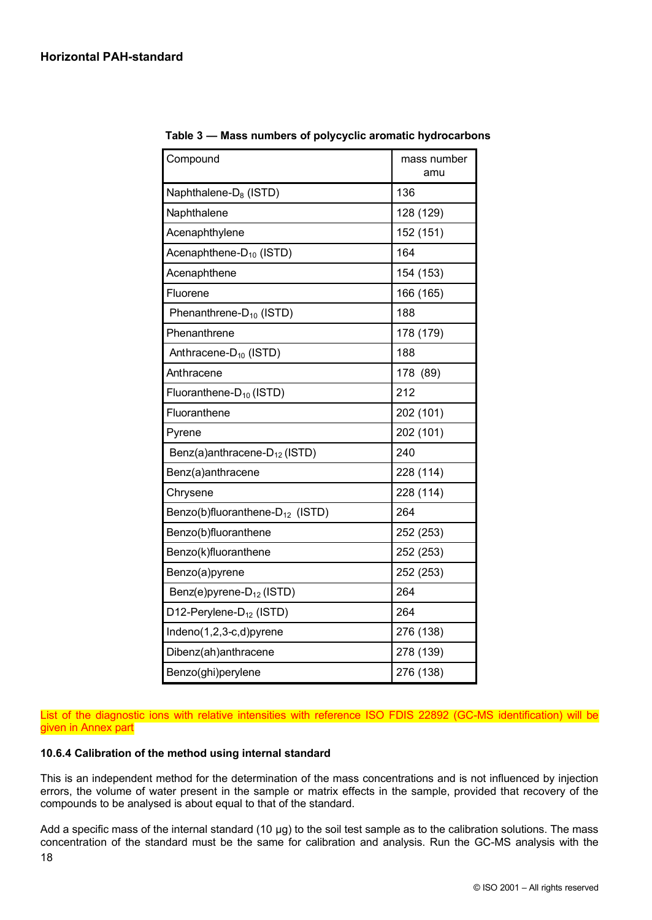| Compound                                    | mass number<br>amu |
|---------------------------------------------|--------------------|
| Naphthalene-D <sub>8</sub> (ISTD)           | 136                |
| Naphthalene                                 | 128 (129)          |
| Acenaphthylene                              | 152 (151)          |
| Acenaphthene-D <sub>10</sub> (ISTD)         | 164                |
| Acenaphthene                                | 154 (153)          |
| Fluorene                                    | 166 (165)          |
| Phenanthrene-D <sub>10</sub> (ISTD)         | 188                |
| Phenanthrene                                | 178 (179)          |
| Anthracene-D <sub>10</sub> (ISTD)           | 188                |
| Anthracene                                  | 178 (89)           |
| Fluoranthene-D <sub>10</sub> (ISTD)         | 212                |
| Fluoranthene                                | 202 (101)          |
| Pyrene                                      | 202 (101)          |
| Benz(a)anthracene- $D_{12}$ (ISTD)          | 240                |
| Benz(a)anthracene                           | 228 (114)          |
| Chrysene                                    | 228 (114)          |
| Benzo(b)fluoranthene-D <sub>12</sub> (ISTD) | 264                |
| Benzo(b)fluoranthene                        | 252 (253)          |
| Benzo(k)fluoranthene                        | 252 (253)          |
| Benzo(a)pyrene                              | 252 (253)          |
| Benz(e)pyrene-D <sub>12</sub> (ISTD)        | 264                |
| D12-Perylene-D <sub>12</sub> (ISTD)         | 264                |
| Indeno(1,2,3-c,d)pyrene                     | 276 (138)          |
| Dibenz(ah)anthracene                        | 278 (139)          |
| Benzo(ghi)perylene                          | 276 (138)          |

**Table 3 — Mass numbers of polycyclic aromatic hydrocarbons**

List of the diagnostic ions with relative intensities with reference ISO FDIS 22892 (GC-MS identification) will be given in Annex part

#### **10.6.4 Calibration of the method using internal standard**

This is an independent method for the determination of the mass concentrations and is not influenced by injection errors, the volume of water present in the sample or matrix effects in the sample, provided that recovery of the compounds to be analysed is about equal to that of the standard.

18 Add a specific mass of the internal standard (10  $\mu$ g) to the soil test sample as to the calibration solutions. The mass concentration of the standard must be the same for calibration and analysis. Run the GC-MS analysis with the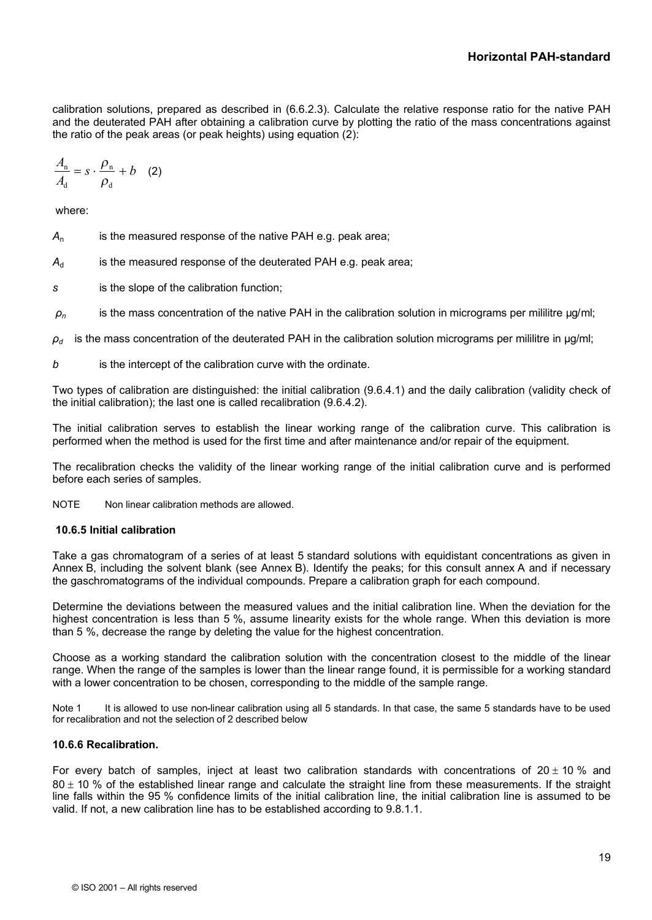calibration solutions, prepared as described in (6.6.2.3). Calculate the relative response ratio for the native PAH and the deuterated PAH after obtaining a calibration curve by plotting the ratio of the mass concentrations against the ratio of the peak areas (or peak heights) using equation (2):

$$
\frac{A_{\rm n}}{A_{\rm d}} = s \cdot \frac{\rho_{\rm n}}{\rho_{\rm d}} + b \quad (2)
$$

where:

- *A*<sup>n</sup> is the measured response of the native PAH e.g. peak area;
- A<sub>d</sub> is the measured response of the deuterated PAH e.g. peak area;
- *s* is the slope of the calibration function;
- *ρ<sup>n</sup>* is the mass concentration of the native PAH in the calibration solution in micrograms per mililitre µg/ml;
- $\rho_d$  is the mass concentration of the deuterated PAH in the calibration solution micrograms per mililitre in  $\mu$ g/ml;
- *b* is the intercept of the calibration curve with the ordinate.

Two types of calibration are distinguished: the initial calibration (9.6.4.1) and the daily calibration (validity check of the initial calibration); the last one is called recalibration (9.6.4.2).

The initial calibration serves to establish the linear working range of the calibration curve. This calibration is performed when the method is used for the first time and after maintenance and/or repair of the equipment.

The recalibration checks the validity of the linear working range of the initial calibration curve and is performed before each series of samples.

NOTE Non linear calibration methods are allowed.

#### **10.6.5 Initial calibration**

Take a gas chromatogram of a series of at least 5 standard solutions with equidistant concentrations as given in Annex B, including the solvent blank (see Annex B). Identify the peaks; for this consult annex A and if necessary the gaschromatograms of the individual compounds. Prepare a calibration graph for each compound.

Determine the deviations between the measured values and the initial calibration line. When the deviation for the highest concentration is less than 5 %, assume linearity exists for the whole range. When this deviation is more than 5 %, decrease the range by deleting the value for the highest concentration.

Choose as a working standard the calibration solution with the concentration closest to the middle of the linear range. When the range of the samples is lower than the linear range found, it is permissible for a working standard with a lower concentration to be chosen, corresponding to the middle of the sample range.

Note 1 It is allowed to use non-linear calibration using all 5 standards. In that case, the same 5 standards have to be used for recalibration and not the selection of 2 described below

#### **10.6.6 Recalibration.**

For every batch of samples, inject at least two calibration standards with concentrations of  $20 \pm 10$  % and  $80 \pm 10$  % of the established linear range and calculate the straight line from these measurements. If the straight line falls within the 95 % confidence limits of the initial calibration line, the initial calibration line is assumed to be valid. If not, a new calibration line has to be established according to 9.8.1.1.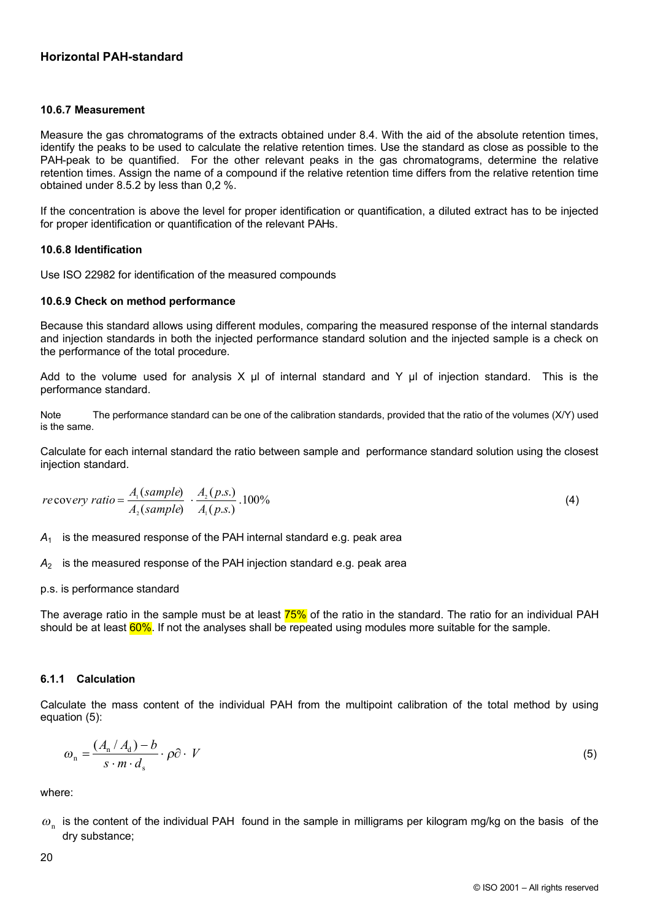#### **10.6.7 Measurement**

Measure the gas chromatograms of the extracts obtained under 8.4. With the aid of the absolute retention times, identify the peaks to be used to calculate the relative retention times. Use the standard as close as possible to the PAH-peak to be quantified. For the other relevant peaks in the gas chromatograms, determine the relative retention times. Assign the name of a compound if the relative retention time differs from the relative retention time obtained under 8.5.2 by less than 0,2 %.

If the concentration is above the level for proper identification or quantification, a diluted extract has to be injected for proper identification or quantification of the relevant PAHs.

#### **10.6.8 Identification**

Use ISO 22982 for identification of the measured compounds

#### **10.6.9 Check on method performance**

Because this standard allows using different modules, comparing the measured response of the internal standards and injection standards in both the injected performance standard solution and the injected sample is a check on the performance of the total procedure.

Add to the volume used for analysis X  $\mu$ l of internal standard and Y  $\mu$ l of injection standard. This is the performance standard.

Note The performance standard can be one of the calibration standards, provided that the ratio of the volumes (X/Y) used is the same.

Calculate for each internal standard the ratio between sample and performance standard solution using the closest injection standard.

$$
recovery ratio = \frac{A_1(sample)}{A_2(sample)} \cdot \frac{A_2(p.s.)}{A_1(p.s.)} .100\%
$$
\n(4)

*A*<sup>1</sup> is the measured response of the PAH internal standard e.g. peak area

*A*<sup>2</sup> is the measured response of the PAH injection standard e.g. peak area

#### p.s. is performance standard

The average ratio in the sample must be at least 75% of the ratio in the standard. The ratio for an individual PAH should be at least 60%. If not the analyses shall be repeated using modules more suitable for the sample.

# **6.1.1 Calculation**

Calculate the mass content of the individual PAH from the multipoint calibration of the total method by using equation (5):

$$
\omega_{\rm n} = \frac{(A_{\rm n} / A_{\rm d}) - b}{s \cdot m \cdot d_{\rm s}} \cdot \rho \partial \cdot V \tag{5}
$$

where:

 $\omega_{\rm n}$  is the content of the individual PAH found in the sample in milligrams per kilogram mg/kg on the basis of the dry substance;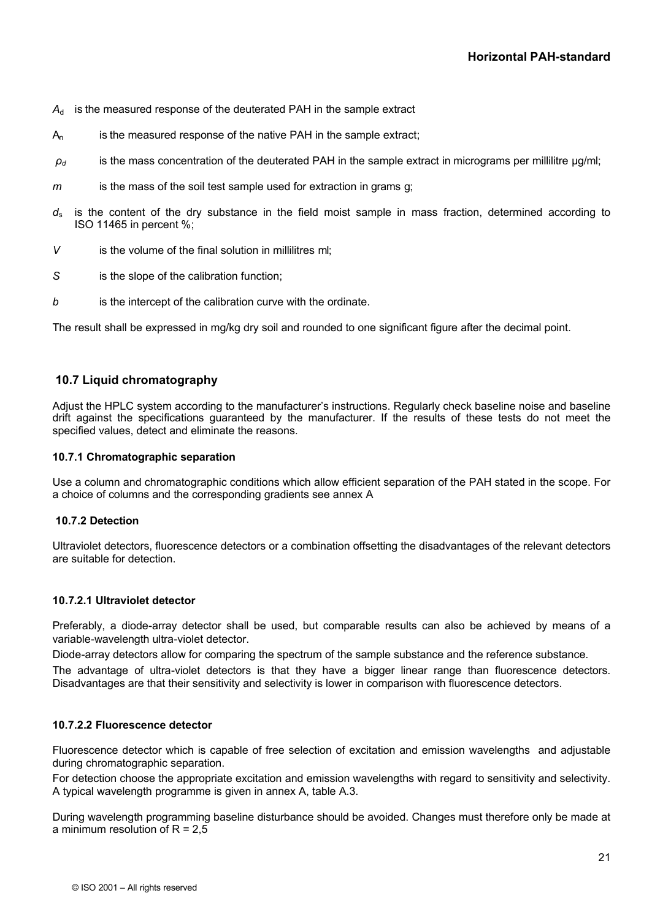- $A_d$  is the measured response of the deuterated PAH in the sample extract
- A<sub>n</sub> is the measured response of the native PAH in the sample extract;
- $\rho_d$  is the mass concentration of the deuterated PAH in the sample extract in micrograms per millilitre  $\mu$ g/ml;
- *m* is the mass of the soil test sample used for extraction in grams g;
- $d_s$  is the content of the dry substance in the field moist sample in mass fraction, determined according to ISO 11465 in percent %;
- *V* is the volume of the final solution in millilitres ml;
- *S* is the slope of the calibration function;
- *b* is the intercept of the calibration curve with the ordinate.

The result shall be expressed in mg/kg dry soil and rounded to one significant figure after the decimal point.

# **10.7 Liquid chromatography**

Adjust the HPLC system according to the manufacturer's instructions. Regularly check baseline noise and baseline drift against the specifications guaranteed by the manufacturer. If the results of these tests do not meet the specified values, detect and eliminate the reasons.

## **10.7.1 Chromatographic separation**

Use a column and chromatographic conditions which allow efficient separation of the PAH stated in the scope. For a choice of columns and the corresponding gradients see annex A

#### **10.7.2 Detection**

Ultraviolet detectors, fluorescence detectors or a combination offsetting the disadvantages of the relevant detectors are suitable for detection.

#### **10.7.2.1 Ultraviolet detector**

Preferably, a diode-array detector shall be used, but comparable results can also be achieved by means of a variable-wavelength ultra-violet detector.

Diode-array detectors allow for comparing the spectrum of the sample substance and the reference substance.

The advantage of ultra-violet detectors is that they have a bigger linear range than fluorescence detectors. Disadvantages are that their sensitivity and selectivity is lower in comparison with fluorescence detectors.

# **10.7.2.2 Fluorescence detector**

Fluorescence detector which is capable of free selection of excitation and emission wavelengths and adjustable during chromatographic separation.

For detection choose the appropriate excitation and emission wavelengths with regard to sensitivity and selectivity. A typical wavelength programme is given in annex A, table A.3.

During wavelength programming baseline disturbance should be avoided. Changes must therefore only be made at a minimum resolution of  $R = 2.5$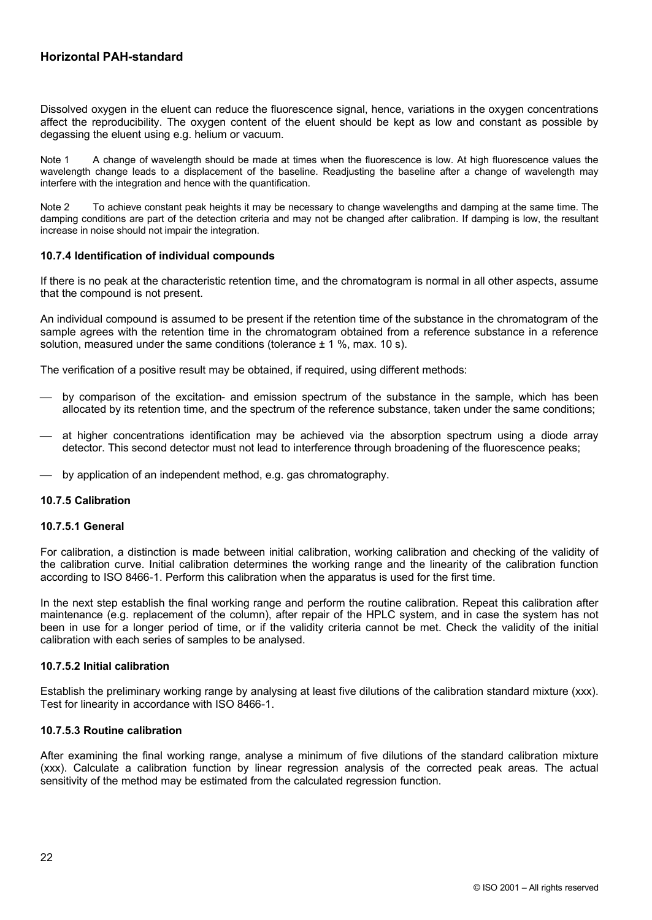Dissolved oxygen in the eluent can reduce the fluorescence signal, hence, variations in the oxygen concentrations affect the reproducibility. The oxygen content of the eluent should be kept as low and constant as possible by degassing the eluent using e.g. helium or vacuum.

Note 1 A change of wavelength should be made at times when the fluorescence is low. At high fluorescence values the wavelength change leads to a displacement of the baseline. Readjusting the baseline after a change of wavelength may interfere with the integration and hence with the quantification.

Note 2 To achieve constant peak heights it may be necessary to change wavelengths and damping at the same time. The damping conditions are part of the detection criteria and may not be changed after calibration. If damping is low, the resultant increase in noise should not impair the integration.

#### **10.7.4 Identification of individual compounds**

If there is no peak at the characteristic retention time, and the chromatogram is normal in all other aspects, assume that the compound is not present.

An individual compound is assumed to be present if the retention time of the substance in the chromatogram of the sample agrees with the retention time in the chromatogram obtained from a reference substance in a reference solution, measured under the same conditions (tolerance  $\pm$  1 %, max. 10 s).

The verification of a positive result may be obtained, if required, using different methods:

- by comparison of the excitation- and emission spectrum of the substance in the sample, which has been allocated by its retention time, and the spectrum of the reference substance, taken under the same conditions;
- ¾ at higher concentrations identification may be achieved via the absorption spectrum using a diode array detector. This second detector must not lead to interference through broadening of the fluorescence peaks;
- by application of an independent method, e.g. gas chromatography.

# **10.7.5 Calibration**

#### **10.7.5.1 General**

For calibration, a distinction is made between initial calibration, working calibration and checking of the validity of the calibration curve. Initial calibration determines the working range and the linearity of the calibration function according to ISO 8466-1. Perform this calibration when the apparatus is used for the first time.

In the next step establish the final working range and perform the routine calibration. Repeat this calibration after maintenance (e.g. replacement of the column), after repair of the HPLC system, and in case the system has not been in use for a longer period of time, or if the validity criteria cannot be met. Check the validity of the initial calibration with each series of samples to be analysed.

#### **10.7.5.2 Initial calibration**

Establish the preliminary working range by analysing at least five dilutions of the calibration standard mixture (xxx). Test for linearity in accordance with ISO 8466-1.

#### **10.7.5.3 Routine calibration**

After examining the final working range, analyse a minimum of five dilutions of the standard calibration mixture (xxx). Calculate a calibration function by linear regression analysis of the corrected peak areas. The actual sensitivity of the method may be estimated from the calculated regression function.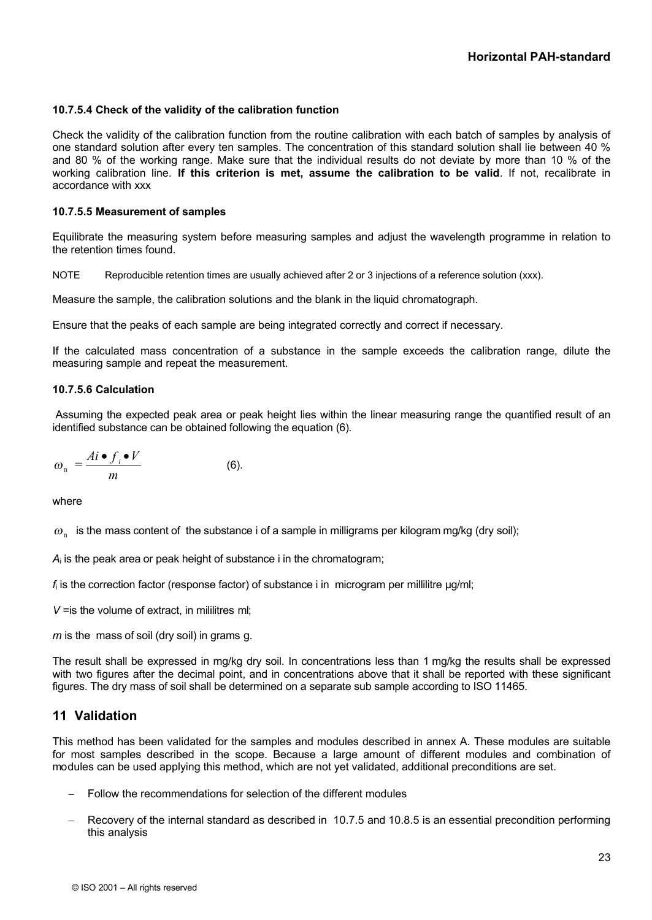#### **10.7.5.4 Check of the validity of the calibration function**

Check the validity of the calibration function from the routine calibration with each batch of samples by analysis of one standard solution after every ten samples. The concentration of this standard solution shall lie between 40 % and 80 % of the working range. Make sure that the individual results do not deviate by more than 10 % of the working calibration line. **If this criterion is met, assume the calibration to be valid**. If not, recalibrate in accordance with xxx

#### **10.7.5.5 Measurement of samples**

Equilibrate the measuring system before measuring samples and adjust the wavelength programme in relation to the retention times found.

NOTE Reproducible retention times are usually achieved after 2 or 3 injections of a reference solution (xxx).

Measure the sample, the calibration solutions and the blank in the liquid chromatograph.

Ensure that the peaks of each sample are being integrated correctly and correct if necessary.

If the calculated mass concentration of a substance in the sample exceeds the calibration range, dilute the measuring sample and repeat the measurement.

#### **10.7.5.6 Calculation**

Assuming the expected peak area or peak height lies within the linear measuring range the quantified result of an identified substance can be obtained following the equation (6).

$$
\omega_{n} = \frac{Ai \bullet f_{i} \bullet V}{m}
$$
 (6).

where

 $\omega_{_\mathrm{n}}\;$  is the mass content of the substance i of a sample in milligrams per kilogram mg/kg (dry soil);

*A*i is the peak area or peak height of substance i in the chromatogram;

*f*i is the correction factor (response factor) of substance i in microgram per millilitre μg/ml;

*V* = is the volume of extract, in mililitres ml:

*m* is the mass of soil (dry soil) in grams g.

The result shall be expressed in mg/kg dry soil. In concentrations less than 1 mg/kg the results shall be expressed with two figures after the decimal point, and in concentrations above that it shall be reported with these significant figures. The dry mass of soil shall be determined on a separate sub sample according to ISO 11465.

# **11 Validation**

This method has been validated for the samples and modules described in annex A. These modules are suitable for most samples described in the scope. Because a large amount of different modules and combination of modules can be used applying this method, which are not yet validated, additional preconditions are set.

- Follow the recommendations for selection of the different modules
- Recovery of the internal standard as described in 10.7.5 and 10.8.5 is an essential precondition performing this analysis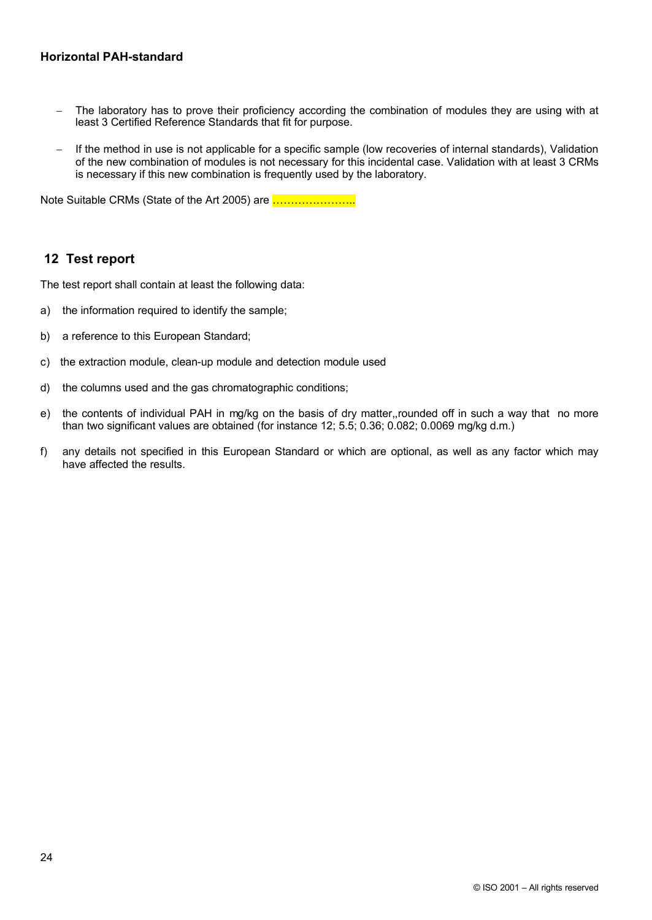- The laboratory has to prove their proficiency according the combination of modules they are using with at least 3 Certified Reference Standards that fit for purpose.
- If the method in use is not applicable for a specific sample (low recoveries of internal standards), Validation of the new combination of modules is not necessary for this incidental case. Validation with at least 3 CRMs is necessary if this new combination is frequently used by the laboratory.

Note Suitable CRMs (State of the Art 2005) are **.....................** 

# **12 Test report**

The test report shall contain at least the following data:

- a) the information required to identify the sample;
- b) a reference to this European Standard;
- c) the extraction module, clean-up module and detection module used
- d) the columns used and the gas chromatographic conditions;
- e) the contents of individual PAH in mg/kg on the basis of dry matter,,rounded off in such a way that no more than two significant values are obtained (for instance 12; 5.5; 0.36; 0.082; 0.0069 mg/kg d.m.)
- f) any details not specified in this European Standard or which are optional, as well as any factor which may have affected the results.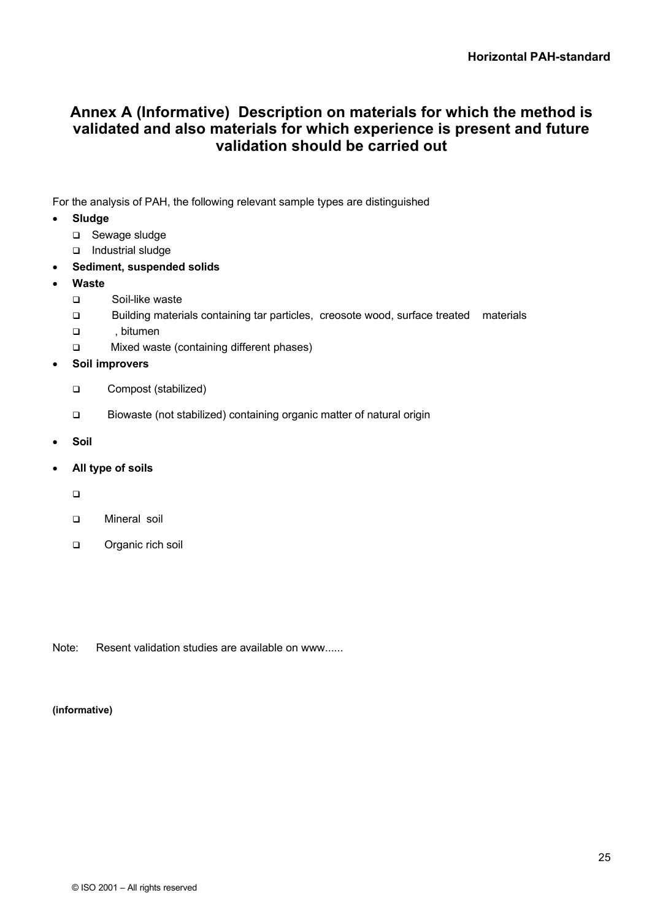# <span id="page-30-0"></span>**Annex A (Informative) Description on materials for which the method is validated and also materials for which experience is present and future validation should be carried out**

For the analysis of PAH, the following relevant sample types are distinguished

- · **Sludge**
	- □ Sewage sludge
	- □ Industrial sludge
- Sediment, suspended solids
- · **Waste**
	- q Soil-like waste
	- q Building materials containing tar particles, creosote wood, surface treated materials
	- q , bitumen
	- □ Mixed waste (containing different phases)
- · **Soil improvers**
	- q Compost (stabilized)
	- q Biowaste (not stabilized) containing organic matter of natural origin
- · **Soil**
- · **All type of soils**
	- $\Box$
	- q Mineral soil
	- organic rich soil

Note: Resent validation studies are available on www......

#### **(informative)**